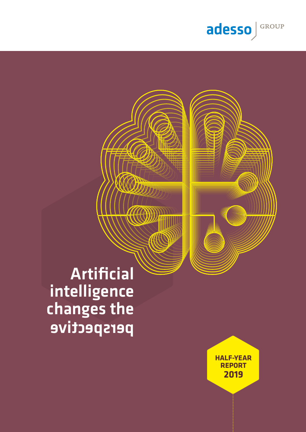

Artificial intelligence changes the perspective

> **HALF-YEAR REPORT 2019**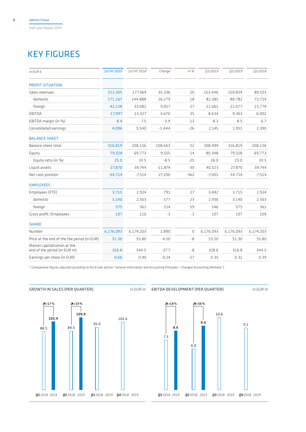## KEY FIGURES

| in EUR k                                                     | 1st HY 2019 | 1st HY 2018 | Change    | in %           | 01/2019   | 02/2019   | 02/2018   |
|--------------------------------------------------------------|-------------|-------------|-----------|----------------|-----------|-----------|-----------|
| <b>PROFIT SITUATION</b>                                      |             |             |           |                |           |           |           |
| Sales revenues                                               | 213,305     | 177,969     | 35,336    | 20             | 103,446   | 109,859   | 89,503    |
| domestic                                                     | 171.167     | 144,888     | 26,279    | 18             | 82,385    | 88,782    | 73,729    |
| foreign                                                      | 42,138      | 33,081      | 9,057     | 27             | 21,061    | 21,077    | 15,774    |
| EBITDA                                                       | 17,997      | 13,327      | 4,670     | 35             | 8,634     | 9,363     | 6,002     |
| EBITDA margin (in %)                                         | 8.4         | 7.5         | 0.9       | 13             | 8.3       | 8.5       | 6.7       |
| Consolidated earnings                                        | 4,096       | 5,540       | $-1,444$  | $-26$          | 2,145     | 1,951     | 2,390     |
| <b>BALANCE SHEET</b>                                         |             |             |           |                |           |           |           |
| Balance sheet total                                          | 316,819     | 208,156     | 108,663   | 52             | 308,999   | 316,819   | 208,156   |
| Equity                                                       | 79,328      | 69,773      | 9,555     | 14             | 80,348    | 79,328    | 69,773    |
| Equity ratio (in %)                                          | 25.0        | 33.5        | $-8.5$    | $-25$          | 26.0      | 25.0      | 33.5      |
| Liquid assets                                                | 27,870      | 39,744      | $-11,874$ | $-30$          | 40,523    | 27,870    | 39,744    |
| Net cash position                                            | $-34,714$   | $-7,514$    | $-27,200$ | $-362$         | $-7,001$  | $-34,714$ | $-7,514$  |
| <b>EMPLOYEES</b>                                             |             |             |           |                |           |           |           |
| Employees (FTE)                                              | 3,715       | 2,924       | 791       | 27             | 3.482     | 3.715     | 2,924     |
| domestic                                                     | 3,140       | 2,563       | 577       | 23             | 2,936     | 3,140     | 2,563     |
| foreign                                                      | 575         | 361         | 214       | 59             | 546       | 575       | 361       |
| Gross profit / Employees                                     | 107         | 110         | $-3$      | $-3$           | 107       | 107       | 109       |
| <b>SHARE</b>                                                 |             |             |           |                |           |           |           |
| Number                                                       | 6,176,093   | 6,174,203   | 1,890     | $\overline{0}$ | 6,176,093 | 6,176,093 | 6,174,203 |
| Price at the end of the the period (in EUR)                  | 51.30       | 55.80       | $-4.50$   | -8             | 53.20     | 51.30     | 55.80     |
| Market capitalisation at the<br>end of the period (in EUR m) | 316.8       | 344.5       | $-27.7$   | $-8$           | 328.6     | 316.8     | 344.5     |
| Earnings per share (in EUR)                                  | 0.66        | 0.90        | $-0.24$   | $-27$          | 0.35      | 0.31      | 0.39      |
|                                                              |             |             |           |                |           |           |           |

\* Comparative figures adjusted according to IAS 8 (see section "General Information and Accounting Principles - Changed Accounting Methods").



10.6

9.1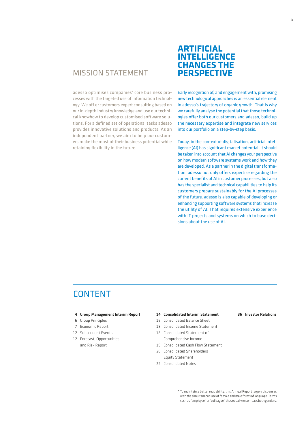## MISSION STATEMENT

adesso optimises companies' core business processes with the targeted use of information technology. We off er customers expert consulting based on our in-depth industry knowledge and use our technical knowhow to develop customised software solutions. For a defined set of operational tasks adesso provides innovative solutions and products. As an independent partner, we aim to help our customers make the most of their business potential while retaining flexibility in the future.

## **ARTIFICIAL INTELLIGENCE CHANGES THE PERSPECTIVE**

Early recognition of, and engagement with, promising new technological approaches is an essential element in adesso's trajectory of organic growth. That is why we carefully analyse the potential that those technologies offer both our customers and adesso, build up the necessary expertise and integrate new services into our portfolio on a step-by-step basis.

Today, in the context of digitalisation, artificial intelligence (AI) has significant market potential. It should be taken into account that AI changes your perspective on how modern software systems work and how they are developed. As a partner in the digital transformation, adesso not only offers expertise regarding the current benefits of AI in customer processes, but also has the specialist and technical capabilities to help its customers prepare sustainably for the AI processes of the future. adesso is also capable of developing or enhancing supporting software systems that increase the utility of AI. That requires extensive experience with IT projects and systems on which to base decisions about the use of AI.

## CONTENT

- 6 Group Principles
- 7 Economic Report
- 12 Subsequent Events
- 12 Forecast, Opportunities and Risk Report

#### 4 Group Management Interim Report 36 Investor Relations 14 Consolidated Interim Statement

- 16 Consolidated Balance Sheet
- 18 Consolidated Income Statement
- 18 Consolidated Statement of Comprehensive Income
- 19 Consolidated Cash Flow Statement
- 20 Consolidated Shareholders Equity Statement
- 22 Consolidated Notes

\* To maintain a better readability, this Annual Report largely dispenses with the simultaneous use of female and male forms of language. Terms such as "employee" or "colleague" thus equally encompass both genders.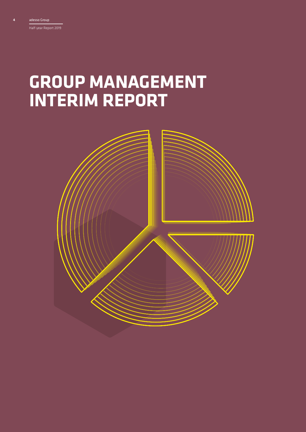4

## **GROUP MANAGEMENT INTERIM REPORT**

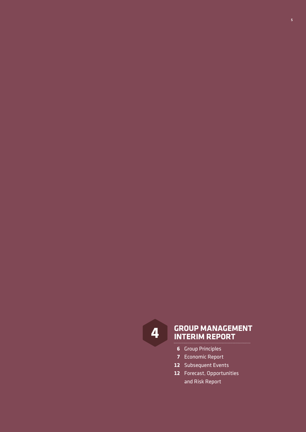

# **GROUP MANAGEMENT 4 INTERIM REPORT**

- Group Principles
- Economic Report
- Subsequent Events
- Forecast, Opportunities and Risk Report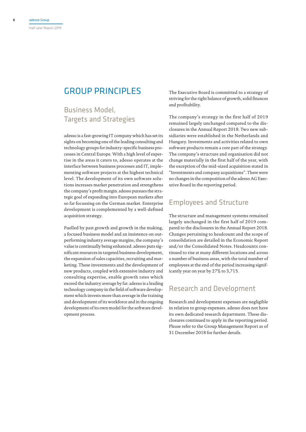## GROUP PRINCIPLES

## Business Model, Targets and Strategies

adesso is a fast-growing IT company which has set its sights on becoming one of the leading consulting and technology groups for industry-specific business processes in Central Europe. With a high level of expertise in the areas it caters to, adesso operates at the interface between business processes and IT, implementing software projects at the highest technical level. The development of its own software solutions increases market penetration and strengthens the company's profit margin. adesso pursues the strategic goal of expanding into European markets after so far focussing on the German market. Enterprise development is complemented by a well-defined acquisition strategy.

Fuelled by past growth and growth in the making, a focused business model and an insistence on outperforming industry average margins, the company's value is continually being enhanced. adesso puts significant resources in targeted business development, the expansion of sales capacities, recruiting and marketing. These investments and the development of new products, coupled with extensive industry and consulting expertise, enable growth rates which exceed the industry average by far. adesso is a leading technology company in the field of software development which invests more than average in the training and development of its workforce and in the ongoing development of its own model for the software development process.

The Executive Board is committed to a strategy of striving for the right balance of growth, solid finances and profitability.

The company's strategy in the first half of 2019 remained largely unchanged compared to the disclosures in the Annual Report 2018. Two new subsidiaries were established in the Netherlands and Hungary. Investments and activities related to own software products remain a core part of the strategy. The company's structure and organisation did not change materially in the first half of the year, with the exception of the mid-sized acquisition stated in "Investments and company acquisitions". There were no changes in the composition of the adesso AG Executive Board in the reporting period.

### Employees and Structure

The structure and management systems remained largely unchanged in the first half of 2019 compared to the disclosures in the Annual Report 2018. Changes pertaining to headcount and the scope of consolidation are detailed in the Economic Report and/or the Consolidated Notes. Headcounts continued to rise at many different locations and across a number of business areas, with the total number of employees at the end of the period increasing significantly year on year by 27% to 3,715.

### Research and Development

Research and development expenses are negligible in relation to group expenses. adesso does not have its own dedicated research department. These disclosures continued to apply in the reporting period. Please refer to the Group Management Report as of 31 December 2018 for further details.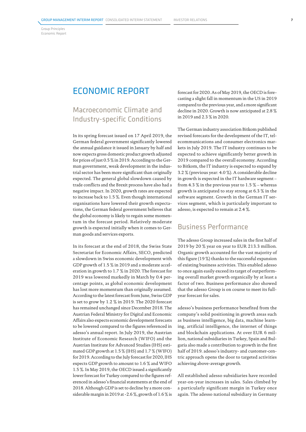Group Principles Economic Report

## ECONOMIC REPORT

## Macroeconomic Climate and Industry-specific Conditions

In its spring forecast issued on 17 April 2019, the German federal government significantly lowered the annual guidance it issued in January by half and now expects gross domestic product growth adjusted for prices of just 0.5 % in 2019. According to the German government, weak development in the industrial sector has been more significant than originally expected. The general global slowdown caused by trade conflicts and the Brexit process have also had a negative impact. In 2020, growth rates are expected to increase back to 1.5 %. Even though international organisations have lowered their growth expectations, the German federal government believes that the global economy is likely to regain some momentum in the forecast period. Relatively moderate growth is expected initially when it comes to German goods and services exports.

In its forecast at the end of 2018, the Swiss State Secretariat for Economic Affairs, SECO, predicted a slowdown in Swiss economic development with GDP growth of 1.5 % in 2019 and a moderate acceleration in growth to 1.7 % in 2020. The forecast for 2019 was lowered markedly in March by 0.4 percentage points, as global economic development has lost more momentum than originally assumed. According to the latest forecast from June, Swiss GDP is set to grow by 1.2 % in 2019. The 2020 forecast has remained unchanged since December 2018. The Austrian Federal Ministry for Digital and Economic Affairs also expects economic development forecasts to be lowered compared to the figures referenced in adesso's annual report. In July 2019, the Austrian Institute of Economic Research (WIFO) and the Austrian Institute for Advanced Studies (IHS) estimated GDP growth at 1.5 % (IHS) and 1.7 % (WIFO) for 2019. According to the July forecast for 2020, IHS expects GDP growth to amount to 1.6 % and WIFO 1.5 %. In May 2019, the OECD issued a significantly lower forecast for Turkey compared to the figures referenced in adesso's financial statements at the end of 2018. Although GDP is set to decline by a more considerable margin in 2019 at -2.6 %, growth of 1.6 % is

forecast for 2020. As of May 2019, the OECD is forecasting a slight fall in momentum in the US in 2019 compared to the previous year, and a more significant decline in 2020. Growth is now anticipated at 2.8 % in 2019 and 2.3 % in 2020.

The German industry association Bitkom published revised forecasts for the development of the IT, telecommunications and consumer electronics markets in July 2019. The IT industry continues to be expected to achieve significantly better growth in 2019 compared to the overall economy. According to Bitkom, the IT industry is expected to expand by 3.2 % (previous year: 4.0 %). A considerable decline in growth is expected in the IT hardware segment – from 4.3  $\%$  in the previous year to 1.5  $\%$  – whereas growth is anticipated to stay strong at 6.3 % in the software segment. Growth in the German IT services segment, which is particularly important to adesso, is expected to remain at 2.4 %.

### Business Performance

The adesso Group increased sales in the first half of 2019 by 20 % year on year to EUR 213.3 million. Organic growth accounted for the vast majority of this figure (19 %) thanks to the successful expansion of existing business activities. This enabled adesso to once again easily exceed its target of outperforming overall market growth organically by at least a factor of two. Business performance also showed that the adesso Group is on course to meet its fullyear forecast for sales.

adesso's business performance benefited from the company's solid positioning in growth areas such as business intelligence, big data, machine learning, artificial intelligence, the internet of things and blockchain applications. At over EUR 6 million, national subsidiaries in Turkey, Spain and Bulgaria also made a contribution to growth in the first half of 2019. adesso's industry- and customer-centric approach opens the door to targeted activities achieving above-average growth.

All established adesso subsidiaries have recorded year-on-year increases in sales. Sales climbed by a particularly significant margin in Turkey once again. The adesso national subsidiary in Germany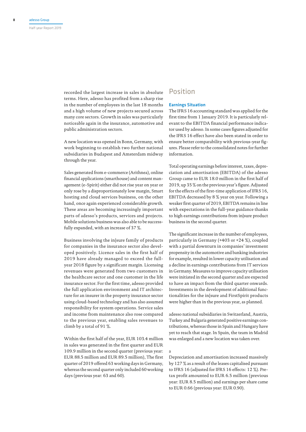recorded the largest increase in sales in absolute terms. Here, adesso has profited from a sharp rise in the number of employees in the last 18 months and a high volume of new projects secured across many core sectors. Growth in sales was particularly noticeable again in the insurance, automotive and public administration sectors.

A new location was opened in Bonn, Germany, with work beginning to establish two further national subsidiaries in Budapest and Amsterdam midway through the year.

Sales generated from e-commerce (Arithnea), online financial applications (smarthouse) and content management (e-Spirit) either did not rise year on year or only rose by a disproportionately low margin, Smart hosting and cloud services business, on the other hand, once again experienced considerable growth. These areas are becoming increasingly important parts of adesso's products, services and projects. Mobile solutions business was also able to be successfully expanded, with an increase of 37 %.

Business involving the in|sure family of products for companies in the insurance sector also developed positively. Licence sales in the first half of 2019 have already managed to exceed the fullyear 2018 figure by a significant margin. Licensing revenues were generated from two customers in the healthcare sector and one customer in the life insurance sector. For the first time, adesso provided the full application environment and IT architecture for an insurer in the property insurance sector using cloud-based technology and has also assumed responsibility for system operations. Service sales and income from maintenance also rose compared to the previous year, enabling sales revenues to climb by a total of 91 %.

Within the first half of the year, EUR 103.4 million in sales was generated in the first quarter and EUR 109.9 million in the second quarter (previous year: EUR 88.5 million and EUR 89.5 million), The first quarter of 2019 offered 63 working days in Germany, whereas the second quarter only included 60 working days (previous year: 63 and 60).

### Position

#### Earnings Situation

The IFRS 16 accounting standard was applied for the first time from 1 January 2019. It is particularly relevant to the EBITDA financial performance indicator used by adesso. In some cases figures adjusted for the IFRS 16 effect have also been stated in order to ensure better comparability with previous-year figures. Please refer to the consolidated notes for further information.

Total operating earnings before interest, taxes, depreciation and amortisation (EBITDA) of the adesso Group came to EUR 18.0 million in the first half of 2019, up 35 % on the previous year's figure. Adjusted for the effects of the first-time application of IFRS 16, EBITDA decreased by 8 % year on year. Following a weaker first quarter of 2019, EBITDA remains in line with expectations in the full-year guidance thanks to high earnings contributions from in|sure product business in the second quarter.

The significant increase in the number of employees, particularly in Germany (+403 or +24 %), coupled with a partial downturn in companies' investment propensity in the automotive and banking industries for example, resulted in lower capacity utilisation and a decline in earnings contributions from IT services in Germany. Measures to improve capacity utilisation were initiated in the second quarter and are expected to have an impact from the third quarter onwards. Investments in the development of additional functionalities for the in|sure and FirstSpirit products were higher than in the previous year, as planned.

adesso national subsidiaries in Switzerland, Austria, Turkey and Bulgaria generated positive earnings contributions, whereas those in Spain and Hungary have yet to reach that stage. In Spain, the team in Madrid was enlarged and a new location was taken over.

#### a

Depreciation and amortisation increased massively by 127 % as a result of the leases capitalised pursuant to IFRS 16 (adjusted for IFRS 16 effects: 12 %). Pretax profit amounted to EUR 6.5 million (previous year: EUR 8.5 million) and earnings per share came to EUR 0.66 (previous year: EUR 0.90).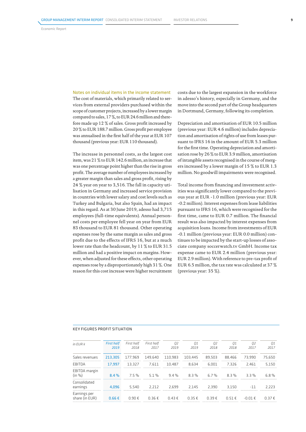#### Notes on individual items in the income statement

The cost of materials, which primarily related to services from external providers purchased within the scope of customer projects, increased by a lower margin compared to sales, 17%, to EUR 24.6 million and therefore made up 12 % of sales. Gross profit increased by 20 % to EUR 188.7 million. Gross profit per employee was annualised in the first half of the year at EUR 107 thousand (previous year: EUR 110 thousand).

The increase in personnel costs, as the largest cost item, was 21 % to EUR 142.6 million, an increase that was one percentage point higher than the rise in gross profit. The average number of employees increased by a greater margin than sales and gross profit, rising by 24 % year on year to 3,516. The fall in capacity utilisation in Germany and increased service provision in countries with lower salary and cost levels such as Turkey and Bulgaria, but also Spain, had an impact in this regard. As at 30 June 2019, adesso had 3,715 employees (full-time equivalents). Annual personnel costs per employee fell year on year from EUR 83 thousand to EUR 81 thousand. Other operating expenses rose by the same margin as sales and gross profit due to the effects of IFRS 16, but at a much lower rate than the headcount, by 11 % to EUR 31.5 million and had a positive impact on margins. However, when adjusted for these effects, other operating expenses rose by a disproportionately high 31 %. One reason for this cost increase were higher recruitment costs due to the largest expansion in the workforce in adesso's history, especially in Germany, and the move into the second part of the Group headquarters in Dortmund, Germany, following its completion.

Depreciation and amortisation of EUR 10.5 million (previous year: EUR 4.6 million) includes depreciation and amortisation of rights of use from leases pursuant to IFRS 16 in the amount of EUR 5.3 million for the first time. Operating depreciation and amortisation rose by 26 % to EUR 3.9 million, amortisation of intangible assets recognised in the course of mergers increased by a lower margin of 15 % to EUR 1.3 million. No goodwill impairments were recognised.

Total income from financing and investment activities was significantly lower compared to the previous year at EUR -1.0 million (previous year: EUR -0.2 million). Interest expenses from lease liabilities pursuant to IFRS 16, which were recognised for the first time, came to EUR 0.7 million. The financial result was also impacted by interest expenses from acquisition loans. Income from investments of EUR -0.1 million (previous year: EUR 0.0 million) continues to be impacted by the start-up losses of associate company soccerwatch.tv GmbH. Income tax expense came to EUR 2.4 million (previous year: EUR 2.9 million). With reference to pre-tax profit of EUR 6.5 million, the tax rate was calculated at 37 % (previous year: 35 %).

| $in$ FUR $k$                   | <b>First half</b><br>2019 | First half<br>2018                                 | First half<br>2017       | ΟZ<br>2019 | 01<br>2019 | Ω2<br>2018 | 01<br>2018 | Ω2<br>2017 | 01                                            |
|--------------------------------|---------------------------|----------------------------------------------------|--------------------------|------------|------------|------------|------------|------------|-----------------------------------------------|
| Sales revenues                 | 213,305                   | 177,969                                            | 149.640                  | 110.983    | 103.445    | 89.503     | 88.466     | 73.990     | 75.650                                        |
| FRITDA                         | 17.997                    | 13.327                                             | 7.611                    | 10.487     | 8.634      | 6.001      | 7.326      | 2.461      | 5.150                                         |
| EBITDA margin<br>(in %)        | 8.4%                      | --------------------------------------<br>$7.5 \%$ | 5 1 %                    | $9.4\%$    | $8.3\%$    | 6.7%       | $8.3\%$    | 33%        | -------------------------------------<br>6.8% |
| Consolidated<br>earnings       | 4.096                     | 5.540                                              | 2 21 2                   | 2.699      | 2 1 4 5    | 2.390      | 3 1 5 N    |            | 2.223                                         |
| Earnings per<br>share (in EUR) | $0.66 \text{ } \in$       | 0.90 f                                             | $0.36 \text{ } \epsilon$ | 0.43 f     | 0.35 f     | ∩ 39 €     | 0.51 f     | $-0.01$ f  | ∩ 37 €                                        |

#### KEY FIGURES PROFIT SITUATION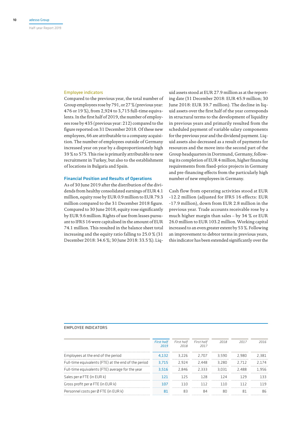#### Employee indicators

Compared to the previous year, the total number of Group employees rose by 791, or 27 % (previous year: 476 or 19 %), from 2,924 to 3,715 full-time equivalents. In the first half of 2019, the number of employees rose by 435 (previous year: 212) compared to the figure reported on 31 December 2018. Of these new employees, 66 are attributable to a company acquisition. The number of employees outside of Germany increased year on year by a disproportionately high 39 % to 575. This rise is primarily attributable to new recruitment in Turkey, but also to the establishment of locations in Bulgaria and Spain.

#### Financial Position and Results of Operations

As of 30 June 2019 after the distribution of the dividends from healthy consolidated earnings of EUR 4.1 million, equity rose by EUR 0.9 million to EUR 79.3 million compared to the 31 December 2018 figure. Compared to 30 June 2018, equity rose significantly by EUR 9.6 million. Rights of use from leases pursuant to IFRS 16 were capitalised in the amount of EUR 74.1 million. This resulted in the balance sheet total increasing and the equity ratio falling to 25.0 % (31 December 2018: 34.6 %; 30 June 2018: 33.5 %). Liq-

uid assets stood at EUR 27.9 million as at the reporting date (31 December 2018: EUR 45.9 million; 30 June 2018: EUR 39.7 million). The decline in liquid assets over the first half of the year corresponds in structural terms to the development of liquidity in previous years and primarily resulted from the scheduled payment of variable salary components for the previous year and the dividend payment. Liquid assets also decreased as a result of payments for resources and the move into the second part of the Group headquarters in Dortmund, Germany, following its completion of EUR 4 million, higher financing requirements from fixed-price projects in Germany and pre-financing effects from the particularly high number of new employees in Germany.

Cash flow from operating activities stood at EUR -12.2 million (adjusted for IFRS 16 effects: EUR -17.9 million), down from EUR 2.8 million in the previous year. Trade accounts receivable rose by a much higher margin than sales – by 34 % or EUR 26.0 million to EUR 103.2 million. Working capital increased to an even greater extent by 53 %. Following an improvement to debtor terms in previous years, this indicator has been extended significantly over the

#### EMPLOYEE INDICATORS

|                                                      | <b>First half</b><br>2019 | First half<br>2018 | First half<br>-2017 | 2018   | 2017    | 2016    |
|------------------------------------------------------|---------------------------|--------------------|---------------------|--------|---------|---------|
| Employees at the end of the period                   | 4.132                     | 3.226 2.707 3.590  |                     |        | - 2.980 | 2 381   |
| Full-time equivalents (FTE) at the end of the period | 3.715                     | 2.924              | 2.448               | 3.280  | 2 7 1 2 | 2 1 7 4 |
| Full-time equivalents (FTE) average for the year     | 3.516                     | 2 846              | - 2333              | 3 N 31 | -2.488  | 1956    |
| Sales per ø FTE (in EUR k)                           |                           | 1 フ ち              | 128                 |        | 179     | 133     |
| Gross profit per ø FTE (in EUR k)                    |                           |                    | 117                 |        |         |         |
| Personnel costs per Ø FTE (in EUR k)                 |                           |                    |                     |        |         |         |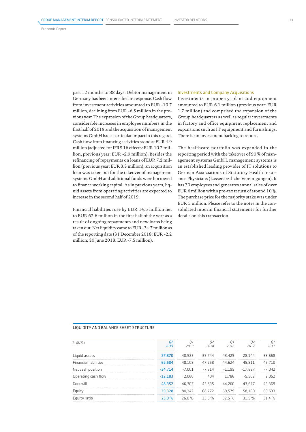past 12 months to 88 days. Debtor management in Germany has been intensified in response. Cash flow from investment activities amounted to EUR -10.7 million, declining from EUR -6.5 million in the previous year. The expansion of the Group headquarters, considerable increases in employee numbers in the first half of 2019 and the acquisition of management systems GmbH had a particular impact in this regard. Cash flow from financing activities stood at EUR 4.9 million (adjusted for IFRS 16 effects: EUR 10.7 million, previous year: EUR -2.9 million). Besides the refinancing of repayments on loans of EUR 7.2 million (previous year: EUR 3.3 million), an acquisition loan was taken out for the takeover of management systems GmbH and additional funds were borrowed to finance working capital. As in previous years, liquid assets from operating activities are expected to increase in the second half of 2019.

Financial liabilities rose by EUR 14.5 million net to EUR 62.6 million in the first half of the year as a result of ongoing repayments and new loans being taken out. Net liquidity came to EUR -34.7 million as of the reporting date (31 December 2018: EUR -2.2 million; 30 June 2018: EUR -7.5 million).

#### Investments and Company Acquisitions

Investments in property, plant and equipment amounted to EUR 6.1 million (previous year: EUR 1.7 million) and comprised the expansion of the Group headquarters as well as regular investments in factory and office equipment replacement and expansions such as IT equipment and furnishings. There is no investment backlog to report.

The healthcare portfolio was expanded in the reporting period with the takeover of 90 % of management systems GmbH. management systems is an established leading provider of IT solutions to German Associations of Statutory Health Insurance Physicians (kassenärztliche Vereinigungen). It has 70 employees and generates annual sales of over EUR 6 million with a pre-tax return of around 10 %. The purchase price for the majority stake was under EUR 5 million. Please refer to the notes in the consolidated interim financial statements for further details on this transaction.

#### LIQUIDITY AND BALANCE SHEET STRUCTURE

| $in$ FUR $k$                 | 02<br>2019 | 01<br>2019 | 02<br>2018      | 01<br>2018 | 02<br>2017 | 01<br>2017 |
|------------------------------|------------|------------|-----------------|------------|------------|------------|
| Liquid assets                | 27,870     | 40.523     | 39.744          | 43.429     | 28.144     | 38.668     |
| <b>Financial liabilities</b> | 62.584     | 48.108     | 47.258          | 44.624     | 45.811     | 45.710     |
| Net cash position            | $-34.714$  | -7.001     | -7.514          | $-1.195$   | $-17.667$  | $-7.042$   |
| Operating cash flow          | $-12.183$  | 2.060      | 4 <sub>04</sub> | 1.786      | $-5.502$   | 2.052      |
| Goodwill                     | 48.352     | 46.307     | 43.895          | 44.260     | 43.677     | 43.369     |
| Equity                       | 79.328     | 80.347     | 68.772          | 69.579     | 58.100     | 60.533     |
| Equity ratio                 | 25.0 %     |            | 26.0% 33.5%     | 32 5 %     | 31 5 %     | $-314%$    |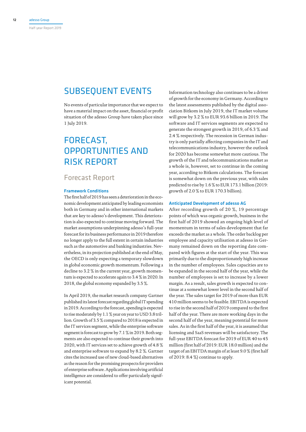## SUBSEQUENT EVENTS

No events of particular importance that we expect to have a material impact on the asset, financial or profit situation of the adesso Group have taken place since 1 July 2019.

## FORECAST, OPPORTUNITIES AND RISK REPORT

#### Forecast Report

#### Framework Conditions

The first half of 2019 has seen a deterioration in the economic development anticipated by leading economists both in Germany and in other international markets that are key to adesso's development. This deterioration is also expected to continue moving forward. The market assumptions underpinning adesso's full-year forecast for its business performance in 2019 therefore no longer apply to the full extent in certain industries such as the automotive and banking industries. Nevertheless, in its projection published at the end of May, the OECD is only expecting a temporary slowdown in global economic growth momentum. Following a decline to 3.2 % in the current year, growth momentum is expected to accelerate again to 3.4 % in 2020. In 2018, the global economy expanded by 3.5 %.

In April 2019, the market research company Gartner published its latest forecast regarding global IT spending in 2019. According to the forecast, spending is expected to rise moderately by 1.1 % year on year to USD 3.8 trillion. Growth of 3.5 % compared to 2018 is expected in the IT services segment, while the enterprise software segment is forecast to grow by 7.1% in 2019. Both segments are also expected to continue their growth into 2020, with IT services set to achieve growth of 4.8 % and enterprise software to expand by 8.2 %. Gartner cites the increased use of new cloud-based alternatives as the reason for the promising prospects for providers of enterprise software. Applications involving artificial intelligence are considered to offer particularly significant potential.

Information technology also continues to be a driver of growth for the economy in Germany. According to the latest assessments published by the digital association Bitkom in July 2019, the IT market volume will grow by 3.2 % to EUR 93.6 billion in 2019. The software and IT services segments are expected to generate the strongest growth in 2019, of 6.3 % and 2.4 % respectively. The recession in German industry is only partially affecting companies in the IT and telecommunications industry, however the outlook for 2020 has become somewhat more cautious. The growth of the IT and telecommunications market as a whole is, however, set to continue in the coming year, according to Bitkom calculations. The forecast is somewhat down on the previous year, with sales predicted to rise by 1.6 % to EUR 173.1 billion (2019: growth of 2.0 % to EUR 170.3 billion).

#### Anticipated Development of adesso AG

After recording growth of 20 %, 19 percentage points of which was organic growth, business in the first half of 2019 showed an ongoing high level of momentum in terms of sales development that far exceeds the market as a whole. The order backlog per employee and capacity utilisation at adesso in Germany remained down on the reporting date compared with figures at the start of the year. This was primarily due to the disproportionately high increase in the number of employees. Sales capacities are to be expanded in the second half of the year, while the number of employees is set to increase by a lower margin. As a result, sales growth is expected to continue at a somewhat lower level in the second half of the year. The sales target for 2019 of more than EUR 410 million seems to be feasible. EBITDA is expected to rise in the second half of 2019 compared to the first half of the year. There are more working days in the second half of the year, meaning potential for more sales. As in the first half of the year, it is assumed that licensing and SaaS revenues will be satisfactory. The full-year EBITDA forecast for 2019 of EUR 40 to 45 million (first half of 2019: EUR 18.0 million) and the target of an EBITDA margin of at least 9.0 % (first half of 2019: 8.4 %) continue to apply.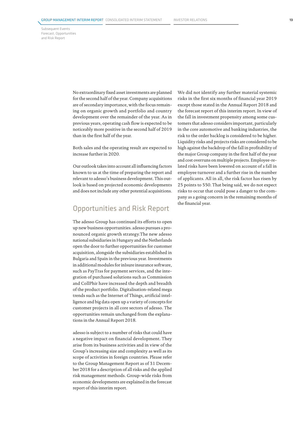No extraordinary fixed asset investments are planned for the second half of the year. Company acquisitions are of secondary importance, with the focus remaining on organic growth and portfolio and country development over the remainder of the year. As in previous years, operating cash flow is expected to be noticeably more positive in the second half of 2019 than in the first half of the year.

Both sales and the operating result are expected to increase further in 2020.

Our outlook takes into account all influencing factors known to us at the time of preparing the report and relevant to adesso's business development. This outlook is based on projected economic developments and does not include any other potential acquisitions.

### Opportunities and Risk Report

The adesso Group has continued its efforts to open up new business opportunities. adesso pursues a pronounced organic growth strategy.The new adesso national subsidiaries in Hungary and the Netherlands open the door to further opportunities for customer acquisition, alongside the subsidiaries established in Bulgaria and Spain in the previous year. Investments in additional modules for inIsure insurance software, such as PayTras for payment services, and the integration of purchased solutions such as Commission and CollPhir have increased the depth and breadth of the product portfolio. Digitalisation-related mega trends such as the Internet of Things, artificial intelligence and big data open up a variety of concepts for customer projects in all core sectors of adesso. The opportunities remain unchanged from the explanations in the Annual Report 2018.

adesso is subject to a number of risks that could have a negative impact on financial development. They arise from its business activities and in view of the Group's increasing size and complexity as well as its scope of activities in foreign countries. Please refer to the Group Management Report as of 31 December 2018 for a description of all risks and the applied risk management methods. Group-wide risks from economic developments are explained in the forecast report of this interim report.

We did not identify any further material systemic risks in the first six months of financial year 2019 except those stated in the Annual Report 2018 and the forecast report of this interim report. In view of the fall in investment propensity among some customers that adesso considers important, particularly in the core automotive and banking industries, the risk to the order backlog is considered to be higher. Liquidity risks and projects risks are considered to be high against the backdrop of the fall in profitability of the major Group company in the first half of the year and cost overruns on multiple projects. Employee-related risks have been lowered on account of a fall in employee turnover and a further rise in the number of applicants. All in all, the risk factor has risen by 25 points to 550. That being said, we do not expect risks to occur that could pose a danger to the company as a going concern in the remaining months of the financial year.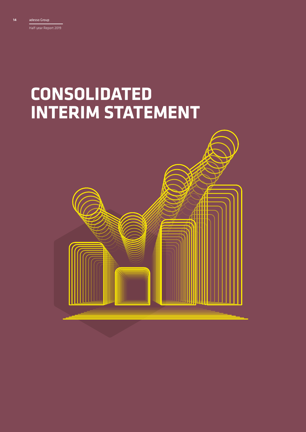Half-year Report 2019

# **CONSOLIDATED INTERIM STATEMENT**

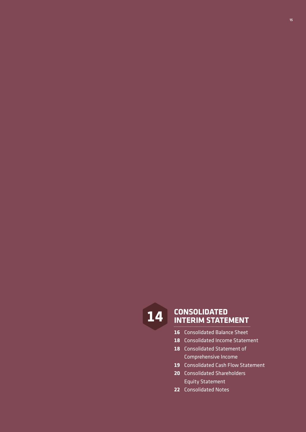

## **CONSOLIDATED 14 INTERIM STATEMENT**

- Consolidated Balance Sheet
- Consolidated Income Statement
- Consolidated Statement of Comprehensive Income
- Consolidated Cash Flow Statement
- Consolidated Shareholders Equity Statement
- Consolidated Notes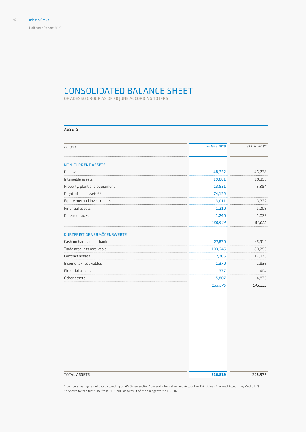Half-year Report 2019

## CONSOLIDATED BALANCE SHEET

OF ADESSO GROUP AS OF 30 JUNE ACCORDING TO IFRS

#### ASSETS

| in EUR k                      | 30 June 2019 | 31 Dec 2018* |
|-------------------------------|--------------|--------------|
| <b>NON-CURRENT ASSETS</b>     |              |              |
| Goodwill                      | 48,352       | 46,228       |
| Intangible assets             | 19,061       | 19,355       |
| Property, plant and equipment | 13,931       | 9,884        |
| Right-of-use assets**         | 74,139       |              |
| Equity method investments     | 3,011        | 3,322        |
| Financial assets              | 1,210        | 1,208        |
| Deferred taxes                | 1,240        | 1,025        |
|                               | 160,944      | 81,022       |
| KURZFRISTIGE VERMÖGENSWERTE   |              |              |
| Cash on hand and at bank      | 27,870       | 45,912       |
| Trade accounts receivable     | 103,245      | 80,253       |
| Contract assets               | 17,206       | 12,073       |
| Income tax receivables        | 1,370        | 1,836        |
| Financial assets              | 377          | 404          |
| Other assets                  | 5,807        | 4,875        |
|                               | 155,875      | 145,353      |
|                               |              |              |

| <b>TOTAL ASSETS</b> | 316,819 | 226,375 |
|---------------------|---------|---------|
|                     |         |         |

\* Comparative figures adjusted according to IAS 8 (see section "General Information and Accounting Principles - Changed Accounting Methods") \*\* Shown for the first time from 01.01.2019 as a result of the changeover to IFRS 16.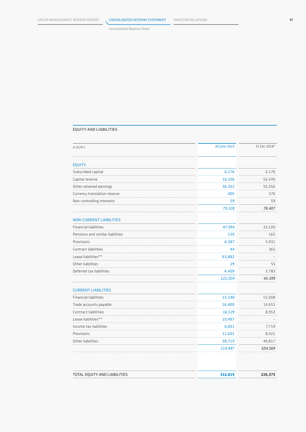Consolidated Balance Sheet

#### EQUITY AND LIABILITIES

| in EUR k                         | 30 June 2019 | 31 Dec 2018* |
|----------------------------------|--------------|--------------|
| <b>EQUITY</b>                    |              |              |
| Subscribed capital               | 6,176        | 6,176        |
| Capital reserve                  | 16,336       | 16,540       |
| Other retained earnings          | 56,352       | 55,056       |
| Currency translation reserve     | 405          | 576          |
| Non-controlling interests        | 59           | 59           |
|                                  | 79,328       | 78,407       |
| <b>NON-CURRENT LIABILITIES</b>   |              |              |
| <b>Financial liabilities</b>     | 47,394       | 33,100       |
| Pensions and similar liabilities | 159          | 165          |
| Provisions                       | 6,587        | 5,931        |
| Contract liabilities             | 44           | 365          |
| Lease liabilities**              | 63,882       |              |
| Other liabilities                | 29           | 55           |
| Deferred tax liabilities         | 4,409        | 3,783        |
|                                  | 122,504      | 43,399       |
| <b>CURRENT LIABILITIES</b>       |              |              |
| <b>Financial liabilities</b>     | 15,190       | 15,008       |
| Trade accounts payable           | 16,400       | 14,651       |
| Contract liabilities             | 16,529       | 8,953        |
| Lease liabilities**              | 10,497       |              |
| Income tax liabilities           | 6,051        | 7,719        |
| Provisions                       | 11,601       | 8,421        |
| Other liabilities                | 38,719       | 49,817       |
|                                  | 114,987      | 104,569      |
| TOTAL EQUITY AND LIABILITIES     | 316,819      | 226,375      |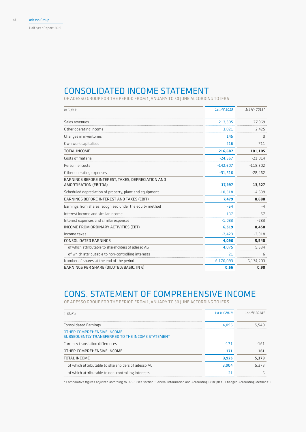## CONSOLIDATED INCOME STATEMENT

OF ADESSO GROUP FOR THE PERIOD FROM 1 JANUARY TO 30 JUNE ACCORDING TO IFRS

| in EUR k                                                                   | 1st HY 2019 | 1st HY 2018* |
|----------------------------------------------------------------------------|-------------|--------------|
| Sales revenues                                                             | 213,305     | 177,969      |
| Other operating income                                                     | 3,021       | 2,425        |
| Changes in inventories                                                     | 145         | 0            |
| Own work capitalised                                                       | 216         | 711          |
| <b>TOTAL INCOME</b>                                                        | 216,687     | 181,105      |
| Costs of material                                                          | $-24,567$   | $-21,014$    |
| Personnel costs                                                            | $-142,607$  | $-118,302$   |
| Other operating expenses                                                   | $-31,516$   | $-28,462$    |
| EARNINGS BEFORE INTEREST, TAXES, DEPRECIATION AND<br>AMORTISATION (EBITDA) | 17,997      | 13,327       |
| Scheduled depreciation of property, plant and equipment                    | $-10,518$   | $-4,639$     |
| EARNINGS BEFORE INTEREST AND TAXES (EBIT)                                  | 7,479       | 8,688        |
| Earnings from shares recognised under the equity method                    | $-64$       | $-4$         |
| Interest income and similar income                                         | 137         | 57           |
| Interest expenses and similar expenses                                     | $-1,033$    | $-283$       |
| INCOME FROM ORDINARY ACTIVITIES (EBT)                                      | 6,519       | 8,458        |
| Income taxes                                                               | $-2,423$    | $-2,918$     |
| CONSOLIDATED EARNINGS                                                      | 4,096       | 5,540        |
| of which attributable to shareholders of adesso AG                         | 4,075       | 5,534        |
| of which attributable to non-controlling interests                         | 21          | 6            |
| Number of shares at the end of the period                                  | 6,176,093   | 6,174,203    |
| EARNINGS PER SHARE (DILUTED/BASIC, IN $\epsilon$ )                         | 0.66        | 0.90         |

## CONS. STATEMENT OF COMPREHENSIVE INCOME

OF ADESSO GROUP FOR THE PERIOD FROM 1 JANUARY TO 30 JUNE ACCORDING TO IFRS

| $in$ FUR $k$                                                                    | 1st HY 2019 | $1$ st HY 2018* |
|---------------------------------------------------------------------------------|-------------|-----------------|
| Consolidated Earnings                                                           | 4.096       | 5.540           |
| OTHER COMPREHENSIVE INCOME,<br>SUBSEQUENTLY TRANSFERRED TO THE INCOME STATEMENT |             |                 |
| Currency translation differences                                                | $-171$      | $-161$          |
| OTHER COMPREHENSIVE INCOME                                                      | -171        | $-161$          |
| <b>TOTAL INCOME</b>                                                             | 3.925       | 5.379           |
| of which attributable to shareholders of adesso AG                              | 3.904       | 5.373           |
| of which attributable to non-controlling interests                              |             |                 |

\* Comparative figures adjusted according to IAS 8 (see section "General Information and Accounting Principles - Changed Accounting Methods")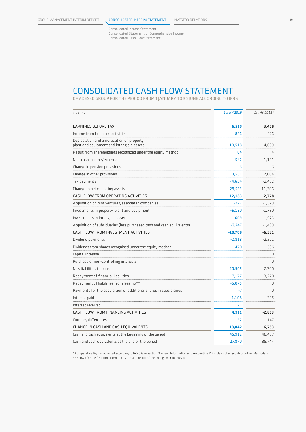Consolidated Income Statement Consolidated Statement of Comprehensive Income Consolidated Cash Flow Statement

## CONSOLIDATED CASH FLOW STATEMENT

OF ADESSO GROUP FOR THE PERIOD FROM 1 JANUARY TO 30 JUNE ACCORDING TO IFRS

| in EUR k                                                                                | 1st HY 2019 | 1st HY 2018* |
|-----------------------------------------------------------------------------------------|-------------|--------------|
| EARNINGS BEFORE TAX                                                                     | 6,519       | 8,458        |
| Income from financing activities                                                        | 896         | 226          |
| Depreciation and amortization on property,<br>plant and equipment and intangible assets | 10,518      | 4,639        |
| Result from shareholdings recognized under the equity method                            | 64          | 4            |
| Non-cash income/expenses                                                                | 542         | 1,131        |
| Change in pension provisions                                                            | -6          | -6           |
| Change in other provisions                                                              | 3,531       | 2.064        |
| Tax payments                                                                            | -4,654      | -2,432       |
| Change to net operating assets                                                          | $-29,593$   | $-11,306$    |
| CASH FLOW FROM OPERATING ACTIVITIES                                                     | $-12,183$   | 2,778        |
| Acquisition of joint ventures/associated companies                                      | $-222$      | -1,379       |
| Investments in property, plant and equipment                                            | $-6,130$    | $-1,730$     |
| Investments in intangible assets                                                        | $-609$      | $-1,923$     |
| Acquisition of subsiduaries (less purchased cash and cash equivalents)                  | $-3.747$    | $-1.499$     |
| CASH FLOW FROM INVESTMENT ACTIVITIES                                                    | $-10,708$   | $-6,531$     |
| Dividend payments                                                                       | $-2,818$    | $-2,521$     |
| Dividends from shares recognised under the equity method                                | 470         | 536          |
| Capital increase                                                                        |             | 0            |
| Purchase of non-controlling interests                                                   |             | 0            |
| New liabilities to banks                                                                | 20,505      | 2,700        |
| Repayment of financial liabilities                                                      | $-7,177$    | $-3,270$     |
| Repayment of liabilities from leasing**                                                 | $-5,075$    | $\Omega$     |
| Payments for the acquisition of additional shares in subsidiaries                       | -7          | $\Omega$     |
| Interest paid                                                                           | $-1,108$    | $-305$       |
| Interest received                                                                       | 121         | 7            |
| CASH FLOW FROM FINANCING ACTIVITIES                                                     | 4,911       | $-2,853$     |
| Currency differences                                                                    | $-62$       | $-147$       |
| CHANGE IN CASH AND CASH EQUIVALENTS                                                     | $-18,042$   | $-6,753$     |
| Cash and cash equivalents at the beginning of the period                                | 45,912      | 46,497       |
| Cash and cash equivalents at the end of the period                                      | 27.870      | 39.744       |

\* Comparative figures adjusted according to IAS 8 (see section "General Information and Accounting Principles - Changed Accounting Methods") \*\* Shown for the first time from 01.01.2019 as a result of the changeover to IFRS 16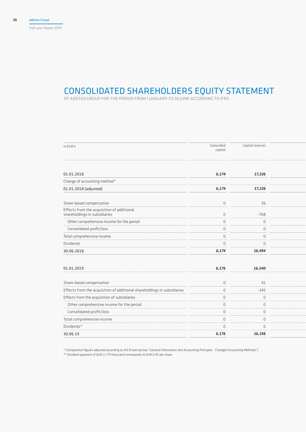Half-year Report 2019

## CONSOLIDATED SHAREHOLDERS EQUITY STATEMENT

OF ADESSO GROUP FOR THE PERIOD FROM 1 JANUARY TO 30 JUNE ACCORDING TO IFRS

| in EUR k                                                                    | Subscribed<br>capital | Capital reserves |  |
|-----------------------------------------------------------------------------|-----------------------|------------------|--|
| 01.01.2018                                                                  | 6,174                 | 17,226           |  |
| Change of accounting method*                                                |                       |                  |  |
| 01.01.2018 (adjusted)                                                       | 6,174                 | 17,226           |  |
|                                                                             |                       |                  |  |
| Share-based compensation                                                    | $\mathbb O$           | 36               |  |
| Effects from the acquisition of additional<br>shareholdings in subsidiaries | $\mathbb O$           | $-768$           |  |
| Other comprehensive income for the period                                   | $\mathbb O$           | $\mathbb O$      |  |
| Consolidated profit/loss                                                    | $\mathbb O$           | $\mathbb O$      |  |
| Total comprehensive income                                                  | $\mathbf 0$           | $\overline{0}$   |  |
| Dividends                                                                   | $\mathbf 0$           | $\overline{0}$   |  |
| 30.06.2018                                                                  | 6,174                 | 16,494           |  |
|                                                                             |                       |                  |  |
| 01.01.2019                                                                  | 6,176                 | 16,540           |  |
| Share-based compensation                                                    | $\mathbb O$           | 41               |  |
| Effects from the acquisition of additional shareholdings in subsidiaries    | $\mathbb O$           | $-245$           |  |
| Effects from the acquisition of subsidiaries                                | $\mathbf{0}$          | $\overline{0}$   |  |
| Other comprehensive income for the period                                   | $\mathbb O$           | $\overline{0}$   |  |
| Consolidated profit/loss                                                    | $\mathbb O$           | $\overline{0}$   |  |
| Total comprehensive income                                                  | $\mathbb O$           | $\overline{0}$   |  |
| $Dividends*$                                                                | $\mathbf 0$           | $\Omega$         |  |
| 30.06.19                                                                    | 6,176                 | 16,336           |  |
|                                                                             |                       |                  |  |

\* Comparative figures adjusted according to IAS 8 (see section "General Information and Accounting Principles - Changed Accounting Methods")

\*\* Dividend payment of EUR 2,779 thousand corresponds to EUR 0.45 per share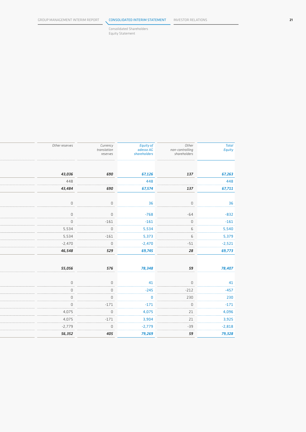Consolidated Shareholders Equity Statement

| Total<br>Equity | Other<br>non-controlling<br>shareholders | <b>Equity of</b><br>adesso AG<br>shareholders | Currency<br>translation<br>reserves | Other reserves |
|-----------------|------------------------------------------|-----------------------------------------------|-------------------------------------|----------------|
| 67,263          | 137                                      | 67,126                                        | 690                                 | 43,036         |
| 448             |                                          | 448                                           |                                     | 448            |
| 67,711          | 137                                      | 67,574                                        | 690                                 | 43,484         |
| 36              | $\mathsf D$                              | 36                                            | $\mathbb O$                         | $\mathbb O$    |
| $-832$          | $-64$                                    | $-768$                                        | $\mathbb O$                         | $\mathbb O$    |
| $-161$          | $\mathsf D$                              | $-161$                                        | $-161$                              | $\mathbb O$    |
| 5,540           | 6 <sup>1</sup>                           | 5,534                                         | $\mathbb O$                         | 5,534          |
| 5,379           | $6\overline{6}$                          | 5,373                                         | $-161$                              | 5,534          |
| $-2,521$        | $-51$                                    | $-2,470$                                      | $\mathbb O$                         | $-2,470$       |
| 69,773          | 28                                       | 69,745                                        | 529                                 | 46,548         |
| 78,407          | 59                                       | 78,348                                        | 576                                 | 55,056         |
| 41              | $\mathsf D$                              | 41                                            | $\cup$                              | $\cup$         |
| $-457$          | $-212$                                   | $-245$                                        | $\overline{0}$                      | $\mathbb O$    |
| 230             | 230                                      | $\overline{\mathbf{0}}$                       | $\mathbb O$                         | $\mathbb O$    |
| $-171$          | $\mathbb O$                              | $-171$                                        | $-171$                              | $\mathbb O$    |
| 4,096           | 21                                       | 4,075                                         | $\mathbb O$                         | 4,075          |
| 3,925           | 21                                       | 3,904                                         | $-171$                              | 4,075          |
| $-2,818$        | $-39$                                    | $-2,779$                                      | $\mathbb O$                         | $-2,779$       |
| 79,328          | 59                                       | 79,269                                        | 405                                 | 56,352         |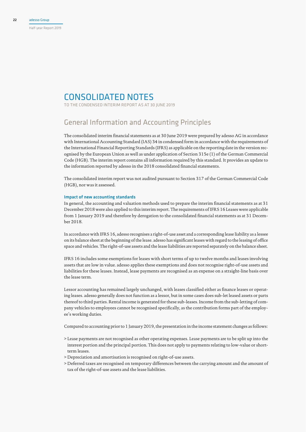## CONSOLIDATED NOTES

TO THE CONDENSED INTERIM REPORT AS AT 30 JUNE 2019

## General Information and Accounting Principles

The consolidated interim financial statements as at 30 June 2019 were prepared by adesso AG in accordance with International Accounting Standard (IAS) 34 in condensed form in accordance with the requirements of the International Financial Reporting Standards (IFRS) as applicable on the reporting date in the version recognised by the European Union as well as under application of Section 315e (1) of the German Commercial Code (HGB). The interim report contains all information required by this standard. It provides an update to the information reported by adesso in the 2018 consolidated financial statements.

The consolidated interim report was not audited pursuant to Section 317 of the German Commercial Code (HGB), nor was it assessed.

#### Impact of new accounting standards

In general, the accounting and valuation methods used to prepare the interim financial statements as at 31 December 2018 were also applied to this interim report. The requirements of IFRS 16 Leases were applicable from 1 January 2019 and therefore by derogation to the consolidated financial statements as at 31 December 2018.

In accordance with IFRS 16, adesso recognises a right-of-use asset and a corresponding lease liability as a lessee on its balance sheet at the beginning of the lease. adesso has significant leases with regard to the leasing of office space and vehicles. The right-of-use assets and the lease liabilities are reported separately on the balance sheet.

IFRS 16 includes some exemptions for leases with short terms of up to twelve months and leases involving assets that are low in value. adesso applies these exemptions and does not recognise right-of-use assets and liabilities for these leases. Instead, lease payments are recognised as an expense on a straight-line basis over the lease term.

Lessor accounting has remained largely unchanged, with leases classified either as finance leases or operating leases. adesso generally does not function as a lessor, but in some cases does sub-let leased assets or parts thereof to third parties. Rental income is generated for these sub-leases. Income from the sub-letting of company vehicles to employees cannot be recognised specifically, as the contribution forms part of the employee's working duties.

Compared to accounting prior to 1 January 2019, the presentation in the income statement changes as follows:

- > Lease payments are not recognised as other operating expenses. Lease payments are to be split up into the interest portion and the principal portion. This does not apply to payments relating to low-value or shortterm leases.
- > Depreciation and amortisation is recognised on right-of-use assets.
- > Deferred taxes are recognised on temporary differences between the carrying amount and the amount of tax of the right-of-use assets and the lease liabilities.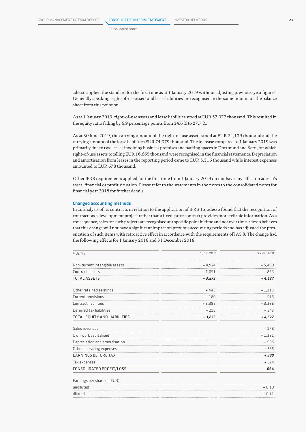Consolidated Notes

adesso applied the standard for the first time as at 1 January 2019 without adjusting previous-year figures. Generally speaking, right-of-use assets and lease liabilities are recognised in the same amount on the balance sheet from this point on.

As at 1 January 2019, right-of-use assets and lease liabilities stood at EUR 57,077 thousand. This resulted in the equity ratio falling by 6.9 percentage points from 34.6 % to 27.7 %.

As at 30 June 2019, the carrying amount of the right-of-use assets stood at EUR 74,139 thousand and the carrying amount of the lease liabilities EUR 74,379 thousand. The increase compared to 1 January 2019 was primarily due to two leases involving business premises and parking spaces in Dortmund and Bern, for which right-of-use assets totalling EUR 16,665 thousand were recognised in the financial statements. Depreciation and amortisation from leases in the reporting period came to EUR 5,316 thousand while interest expenses amounted to EUR 678 thousand.

Other IFRS requirements applied for the first time from 1 January 2019 do not have any effect on adesso's asset, financial or profit situation. Please refer to the statements in the notes to the consolidated notes for financial year 2018 for further details.

#### Changed accounting methods

In an analysis of its contracts in relation to the application of IFRS 15, adesso found that the recognition of contracts as a development project rather than a fixed-price contract provides more reliable information. As a consequence, sales for such projects are recognised at a specific point in time and not over time. adesso believes that this change will not have a significant impact on previous accounting periods and has adjusted the presentation of such items with retroactive effect in accordance with the requirements of IAS 8. The change had the following effects for 1 January 2018 and 31 December 2018:

| in EUR k                      | 1 Jan 2018 | 31 Dec 2018 |
|-------------------------------|------------|-------------|
| Non-current intangible assets | $+4,924$   | $+ 5,400$   |
| Contract assets               | $-1,051$   | $-873$      |
| <b>TOTAL ASSETS</b>           | $+3,873$   | $+4,527$    |
| Other retained earnings       | $+448$     | $+1,113$    |
| Current provisions            | $-180$     | $-515$      |
| Contract liabilities          | $+3,386$   | $+3,386$    |
| Deferred tax liabilities      | $+219$     | $+543$      |
| TOTAL EQUITY AND LIABILITIES  | $+3,873$   | $+4,527$    |
| Sales revenues                |            | $+178$      |
| Own work capitalised          |            | $+1,381$    |
| Depreciation and amortisation |            | $+905$      |
| Other operating expenses      |            | $-335$      |
| <b>EARNINGS BEFORE TAX</b>    |            | + 989       |
| Tax expenses                  |            | $+324$      |
| CONSOLIDATED PROFIT/LOSS      |            | $+664$      |
| Earnings per share (in EUR)   |            |             |
| undiluted                     |            | $+0.10$     |
| diluted                       |            | $+0.11$     |
|                               |            |             |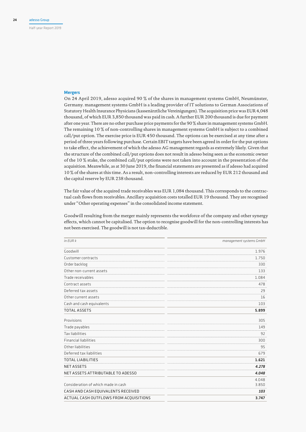Half-year Report 2019

#### Mergers

On 24 April 2019, adesso acquired 90 % of the shares in management systems GmbH, Neumünster, Germany. management systems GmbH is a leading provider of IT solutions to German Associations of Statutory Health Insurance Physicians (kassenärztliche Vereinigungen). The acquisition price was EUR 4,048 thousand, of which EUR 3,850 thousand was paid in cash. A further EUR 200 thousand is due for payment after one year. There are no other purchase price payments for the 90 % share in management systems GmbH. The remaining 10 % of non-controlling shares in management systems GmbH is subject to a combined call/put option. The exercise price is EUR 450 thousand. The options can be exercised at any time after a period of three years following purchase. Certain EBIT targets have been agreed in order for the put options to take effect, the achievement of which the adesso AG management regards as extremely likely. Given that the structure of the combined call/put options does not result in adesso being seen as the economic owner of the 10 % stake, the combined call/put options were not taken into account in the presentation of the acquisition. Meanwhile, as at 30 June 2019, the financial statements are presented as if adesso had acquired 10 % of the shares at this time. As a result, non-controlling interests are reduced by EUR 212 thousand and the capital reserve by EUR 238 thousand.

The fair value of the acquired trade receivables was EUR 1,084 thousand. This corresponds to the contractual cash flows from receivables. Ancillary acquisition costs totalled EUR 19 thousand. They are recognised under "Other operating expenses" in the consolidated income statement.

Goodwill resulting from the merger mainly represents the workforce of the company and other synergy effects, which cannot be capitalised. The option to recognise goodwill for the non-controlling interests has not been exercised. The goodwill is not tax-deductible.

| in EUR k                               | management systems GmbH |
|----------------------------------------|-------------------------|
| Goodwill                               | 1.976                   |
| Customer contracts                     | 1.750                   |
| Order backlog                          | 330                     |
| Other non-current assets               | 133                     |
| Trade receivables                      | 1.084                   |
| Contract assets                        | 478                     |
| Deferred tax assets                    | 29                      |
| Other current assets                   | 16                      |
| Cash and cash equivalents              | 103                     |
| <b>TOTAL ASSETS</b>                    | 5.899                   |
| Provisions                             | 305                     |
| Trade payables                         | 149                     |
| <b>Tax liabilities</b>                 | 92                      |
| <b>Financial liabilities</b>           | 300                     |
| Other liabilities                      | 95                      |
| Deferred tax liabilities               | 679                     |
| <b>TOTAL LIABILITIES</b>               | 1.621                   |
| <b>NET ASSETS</b>                      | 4.278                   |
| NET ASSETS ATTRIBUTABLE TO ADESSO      | 4.048                   |
|                                        | 4.048                   |
| Consideration of which made in cash    | 3.850                   |
| CASH AND CASH EQUIVALENTS RECEIVED     | 103                     |
| ACTUAL CASH OUTFLOWS FROM ACQUISITIONS | 3.747                   |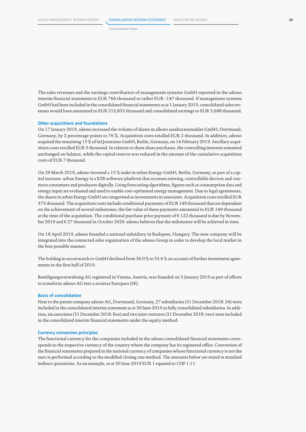Consolidated Notes

The sales revenues and the earnings contribution of management systems GmbH reported in the adesso interim financial statements is EUR 766 thousand or rather EUR -147 thousand. If management systems GmbH had been included in the consolidated financial statements as at 1 January 2019, consolidated sales revenues would have amounted to EUR 215,833 thousand and consolidated earnings to EUR 3,688 thousand.

#### Other acquisitions and foundations

On 17 January 2019, adesso increased the volume of shares in alleato assekuranzmakler GmbH, Dortmund, Germany, by 2 percentage points to 76 %. Acquisition costs totalled EUR 2 thousand. In addition, adesso acquired the remaining 15 % of inQventures GmbH, Berlin, Germany, on 14 February 2019. Ancillary acquisition costs totalled EUR 5 thousand. In relation to these share purchases, the controlling interests remained unchanged on balance, while the capital reserve was reduced in the amount of the cumulative acquisition costs of EUR 7 thousand.

On 29 March 2019, adesso invested a 15 % stake in urban Energy GmbH, Berlin, Germany, as part of a capital increase. urban Energy is a B2B software platform that accesses existing, controllable devices and connects consumers and producers digitally. Using forecasting algorithms, figures such as consumption data and energy input are evaluated and used to enable cost-optimised energy management. Due to legal agreements, the shares in urban Energy GmbH are categorised as investments in associates. Acquisition costs totalled EUR 375 thousand. The acquisition costs include conditional payments of EUR 149 thousand that are dependent on the achievement of several milestones; the fair value of these payments amounted to EUR 149 thousand at the time of the acquisition. The conditional purchase price payment of € 122 thousand is due by November 2019 and € 27 thousand in October 2020. adesso believes that the milestones will be achieved in time.

On 18 April 2019, adesso founded a national subsidiary in Budapest, Hungary. The new company will be integrated into the connected sales organisation of the adesso Group in order to develop the local market in the best possible manner.

The holding in soccerwatch.tv GmbH declined from 36.0 % to 33.4 % on account of further investment agreements in the first half of 2019.

Beteiligungsverwaltung AG registered in Vienna, Austria, was founded on 3 January 2019 as part of efforts to transform adesso AG into a societas Europaea (SE).

#### Basis of consolidation

Next to the parent company adesso AG, Dortmund, Germany, 27 subsidiaries (31 December 2018: 24) were included in the consolidated interim statement as at 30 June 2019 as fully consolidated subsidiaries. In addition, six associates (31 December 2018: five) and two joint ventures (31 December 2018: two) were included in the consolidated interim financial statements under the equity method.

#### Currency conversion principles

The functional currency for the companies included in the adesso consolidated financial statements corresponds to the respective currency of the country where the company has its registered office. Conversion of the financial statements prepared in the national currency of companies whose functional currency is not the euro is performed according to the modified closing rate method. The amounts below are stated at standard indirect quotations. As an example, as at 30 June 2019 EUR 1 equated to CHF 1.11.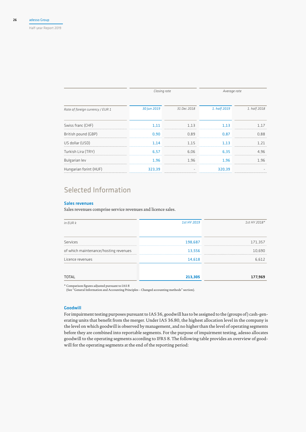Half-year Report 2019

|                                  | Closing rate |             | Average rate |              |  |
|----------------------------------|--------------|-------------|--------------|--------------|--|
| Rate of foreign currency / EUR 1 | 30 Jun 2019  | 31 Dec 2018 | 1. half 2019 | 1. half 2018 |  |
| Swiss franc (CHF)                | 1,11         | 1.13        | 1.13         | 1.17         |  |
| British pound (GBP)              | 0,90         | 0.89        | 0,87         | 0.88         |  |
| US dollar (USD)                  | 1,14         | 1.15        | 1.13         | 1.21         |  |
| Turkish Lira (TRY)               | 6,57         | 6,06        | 6,35         | 4.96         |  |
| Bulgarian lev                    | 1,96         | 1.96        | 1.96         | 1.96         |  |
| Hungarian forint (HUF)           | 323,39       |             | 320,39       |              |  |

## Selected Information

#### Sales revenues

Sales revenues comprise service revenues and licence sales.

| in EUR k                              | 1st HY 2019 | 1st HY 2018* |
|---------------------------------------|-------------|--------------|
|                                       |             |              |
| Services                              | 198,687     | 171,357      |
|                                       |             |              |
| of which maintenance/hosting revenues | 13,556      | 10,690       |
| Licence revenues                      | 14,618      | 6,612        |
|                                       |             |              |
| <b>TOTAL</b>                          | 213,305     | 177,969      |

\* Comparison figures adjusted pursuant to IAS 8

(See "General Information and Accounting Principles – Changed accounting methods" section).

#### Goodwill

For impairment testing purposes pursuant to IAS 36, goodwill has to be assigned to the (groups of) cash-generating units that benefit from the merger. Under IAS 36.80, the highest allocation level in the company is the level on which goodwill is observed by management, and no higher than the level of operating segments before they are combined into reportable segments. For the purpose of impairment testing, adesso allocates goodwill to the operating segments according to IFRS 8. The following table provides an overview of goodwill for the operating segments at the end of the reporting period: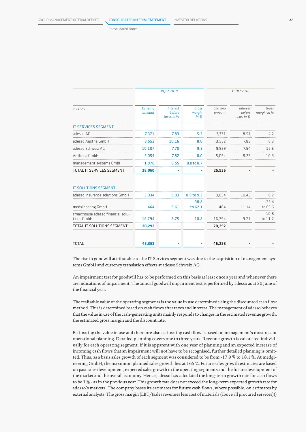Consolidated Notes

|                                                 | 30 Jun 2019               |                                         |                                | 31 Dec 2018        |                                  |                      |
|-------------------------------------------------|---------------------------|-----------------------------------------|--------------------------------|--------------------|----------------------------------|----------------------|
|                                                 |                           |                                         |                                |                    |                                  |                      |
| $in$ FUR $k$                                    | <b>Carrying</b><br>amount | <b>Interest</b><br>before<br>taxes in % | <b>Gross</b><br>margin<br>in % | Carrying<br>amount | Interest<br>before<br>taxes in % | Gross<br>margin in % |
| <b>IT SERVICES SEGMENT</b>                      |                           |                                         |                                |                    |                                  |                      |
| adesso AG                                       | 7,371                     | 7.83                                    | 5.3                            | 7,371              | 8.51                             | 4.2                  |
| adesso Austria GmbH                             | 3,552                     | 10.16                                   | 8.0                            | 3,552              | 7.83                             | 6.3                  |
| adesso Schweiz AG                               | 10,107                    | 7.70                                    | 9.5                            | 9,959              | 7.54                             | 12.6                 |
| Arithnea GmbH                                   | 5,054                     | 7.82                                    | 8.0                            | 5,054              | 8.25                             | 10.3                 |
| management systems GmbH                         | 1,976                     | 8.55                                    | 8.0 to 8.7                     |                    |                                  |                      |
| TOTAL IT SERVICES SEGMENT                       | 28,060                    |                                         | ä,                             | 25,936             |                                  |                      |
| <b>IT SOLUTIONS SEGMENT</b>                     |                           |                                         |                                |                    |                                  |                      |
| adesso insurance solutions GmbH                 | 3,034                     | 9.03                                    | 8.9 to 9.3                     | 3,034              | 10.43                            | 8.2                  |
| medgineering GmbH                               | 464                       | 9.61                                    | $-38.8$<br>to 62.1             | 464                | 11.14                            | $-25.4$<br>to 69.6   |
| smarthouse adesso financial solu-<br>tions GmbH | 16,794                    | 8.75                                    | 10.8                           | 16,794             | 9.71                             | 10.8<br>to 11.2      |
| TOTAL IT SOLUTIONS SEGMENT                      | 20,292                    |                                         | ۰                              | 20,292             |                                  |                      |
| <b>TOTAL</b>                                    | 48,352                    |                                         |                                | 46,228             |                                  |                      |

The rise in goodwill attributable to the IT Services segment was due to the acquisition of management systems GmbH and currency translation effects at adesso Schweiz AG.

An impairment test for goodwill has to be performed on this basis at least once a year and whenever there are indications of impairment. The annual goodwill impairment test is performed by adesso as at 30 June of the financial year.

The realisable value of the operating segments is the value in use determined using the discounted cash flow method. This is determined based on cash flows after taxes and interest. The management of adesso believes that the value in use of the cash-generating units mainly responds to changes in the estimated revenue growth, the estimated gross margin and the discount rate.

Estimating the value in use and therefore also estimating cash flow is based on management's most recent operational planning. Detailed planning covers one to three years. Revenue growth is calculated individually for each operating segment. If it is apparent with one year of planning and an expected increase of incoming cash flows that an impairment will not have to be recognised, further detailed planning is omitted. Thus, as a basis sales growth of each segment was considered to be from -17.9 % to 18.1 %. At medgineering GmbH, the maximum planned sales growth lies at 165 %. Future sales growth estimates are based on past sales development, expected sales growth in the operating segments and the future development of the market and the overall economy. Hence, adesso has calculated the long-term growth rate for cash flows to be 1 % - as in the previous year. This growth rate does not exceed the long-term expected growth rate for adesso's markets. The company bases its estimates for future cash flows, where possible, on estimates by external analysts. The gross margin (EBT/(sales revenues less cost of materials (above all procured services)))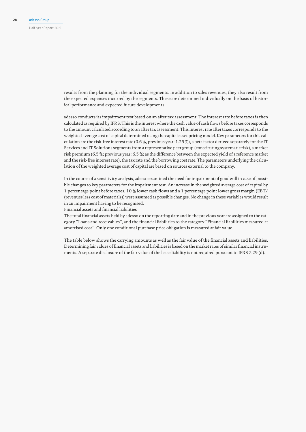results from the planning for the individual segments. In addition to sales revenues, they also result from the expected expenses incurred by the segments. These are determined individually on the basis of historical performance and expected future developments.

adesso conducts its impairment test based on an after tax assessment. The interest rate before taxes is then calculated as required by IFRS. This is the interest where the cash value of cash flows before taxes corresponds to the amount calculated according to an after tax assessment. This interest rate after taxes corresponds to the weighted average cost of capital determined using the capital asset pricing model. Key parameters for this calculation are the risk-free interest rate (0.6 %, previous year: 1.25 %), a beta factor derived separately for the IT Services and IT Solutions segments from a representative peer group (constituting systematic risk), a market risk premium (6.5 %; previous year: 6.5 %; as the difference between the expected yield of a reference market and the risk-free interest rate), the tax rate and the borrowing cost rate. The parameters underlying the calculation of the weighted average cost of capital are based on sources external to the company.

In the course of a sensitivity analysis, adesso examined the need for impairment of goodwill in case of possible changes to key parameters for the impairment test. An increase in the weighted average cost of capital by 1 percentage point before taxes, 10 % lower cash flows and a 1 percentage point lower gross margin (EBT/ (revenues less cost of materials)) were assumed as possible changes. No change in these variables would result in an impairment having to be recognised.

Financial assets and financial liabilities

The total financial assets held by adesso on the reporting date and in the previous year are assigned to the category "Loans and receivables", and the financial liabilities to the category "Financial liabilities measured at amortised cost". Only one conditional purchase price obligation is measured at fair value.

The table below shows the carrying amounts as well as the fair value of the financial assets and liabilities. Determining fair values of financial assets and liabilities is based on the market rates of similar financial instruments. A separate disclosure of the fair value of the lease liability is not required pursuant to IFRS 7.29 (d).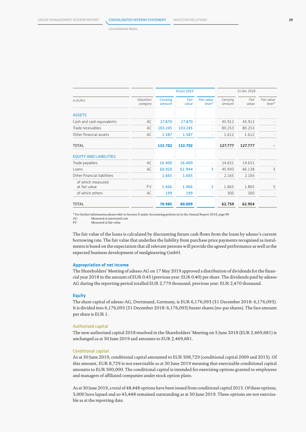Consolidated Notes

|                                    |                       |                           | 30 Jun 2019   |                               |                    | 31 Dec 2018   |                        |
|------------------------------------|-----------------------|---------------------------|---------------|-------------------------------|--------------------|---------------|------------------------|
| in EUR k                           | Valuation<br>category | <b>Carrying</b><br>amount | Fair<br>value | <b>Fair value</b><br>$level*$ | Carrying<br>amount | Fair<br>value | Fair value<br>$level*$ |
| <b>ASSETS</b>                      |                       |                           |               |                               |                    |               |                        |
| Cash and cash equivalents          | AC                    | 27.870                    | 27.870        |                               | 45.912             | 45.912        |                        |
| Trade receivables                  | AC                    | 103.245                   | 103.245       | ٠                             | 80.253             | 80.253        |                        |
| Other financial assets             | AC                    | 1.587                     | 1.587         | ٠                             | 1.612              | 1.612         |                        |
| <b>TOTAL</b>                       |                       | 132.702                   | 132.702       |                               | 127.777            | 127.777       |                        |
| <b>EQUITY AND LIABILITIES</b>      |                       |                           |               |                               |                    |               |                        |
| Trade payables                     | AC                    | 16,400                    | 16.400        | ٠                             | 14.651             | 14.651        |                        |
| Loans                              | AC                    | 60,920                    | 61.944        | 3                             | 45.943             | 46.138        | 3                      |
| Other financial liabilities        |                       | 1.665                     | 1.665         |                               | 2.165              | 2.165         |                        |
| of which measured<br>at fair value | <b>FV</b>             | 1.466                     | 1.466         | З                             | 1.865              | 1.865         | 3                      |
| of which others                    | AC                    | 199                       | 199           |                               | 300                | 300           |                        |
| <b>TOTAL</b>                       |                       | 78.985                    | 80,009        |                               | 62.759             | 62.954        |                        |

\* For further information please refer to Section II under Accounting policies (s) in the Annual Report 2018, page 90

AC: Measured at amortised cost<br>FV: Measured at fair value FV: Measured at fair value

The fair value of the loans is calculated by discounting future cash flows from the loans by adesso's current borrowing rate. The fair value that underlies the liability from purchase price payments recognised as instalments is based on the expectation that all relevant persons will provide the agreed performance as well as the expected business development of medgineering GmbH.

#### Appropriation of net income

The Shareholders' Meeting of adesso AG on 17 May 2019 approved a distribution of dividends for the financial year 2018 in the amount of EUR 0.45 (previous year: EUR 0.40) per share. The dividends paid by adesso AG during the reporting period totalled EUR 2,779 thousand; previous year: EUR 2,470 thousand.

#### **Equity**

The share capital of adesso AG, Dortmund, Germany, is EUR 6,176,093 (31 December 2018: 6,176,093). It is divided into 6,176,093 (31 December 2018: 6,176,093) bearer shares (no-par shares). The face amount per share is EUR 1.

#### Authorised capital

The new authorised capital 2018 resolved in the Shareholders' Meeting on 5 June 2018 (EUR 2,469,681) is unchanged as at 30 June 2019 and amounts to EUR 2,469,681.

#### Conditional capital

As at 30 June 2019, conditional capital amounted to EUR 508,729 (conditional capital 2009 and 2015). Of this amount, EUR 8,729 is not exercisable as at 30 June 2019 meaning that exercisable conditional capital amounts to EUR 500,000. The conditional capital is intended for exercising options granted to employees and managers of affiliated companies under stock option plans.

As at 30 June 2019, a total of 48,448 options have been issued from conditional capital 2015. Of these options, 5,000 have lapsed and so 43,448 remained outstanding as at 30 June 2019. These options are not exercisable as at the reporting date.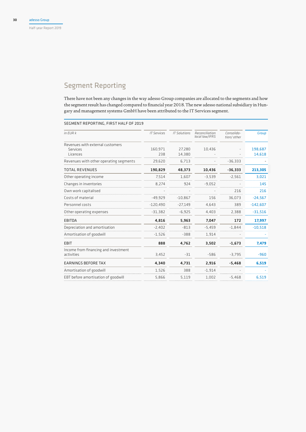## Segment Reporting

There have not been any changes in the way adesso Group companies are allocated to the segments and how the segment result has changed compared to financial year 2018. The new adesso national subsidiary in Hungary and management systems GmbH have been attributed to the IT Services segment.

#### SEGMENT REPORTING, FIRST HALF OF 2019

| in EUR k                                           | <b>IT Services</b> | <b>IT Solutions</b> | Reconciliation<br>local law/IFRS | Consolida-<br>tion/ other | <b>Group</b> |
|----------------------------------------------------|--------------------|---------------------|----------------------------------|---------------------------|--------------|
| Revenues with external customers                   |                    |                     |                                  |                           |              |
| Services                                           | 160.971            | 27.280              | 10,436                           |                           | 198.687      |
| Licences                                           | 238                | 14,380              |                                  |                           | 14,618       |
| Revenues with other operating segments             | 29,620             | 6.713               |                                  | $-36,333$                 |              |
| <b>TOTAL REVENUES</b>                              | 190,829            | 48,373              | 10,436                           | $-36,333$                 | 213,305      |
| Other operating income                             | 7,514              | 1.607               | $-3,539$                         | $-2.561$                  | 3,021        |
| Changes in inventories                             | 8,274              | 924                 | $-9,052$                         |                           | 145          |
| Own work capitalised                               |                    |                     |                                  | 216                       | 216          |
| Costs of material                                  | $-49.929$          | $-10.867$           | 156                              | 36.073                    | $-24,567$    |
| Personnel costs                                    | $-120,490$         | $-27,149$           | 4,643                            | 389                       | $-142,607$   |
| Other operating expenses                           | $-31,382$          | $-6,925$            | 4,403                            | 2,388                     | $-31,516$    |
| <b>EBITDA</b>                                      | 4,816              | 5,963               | 7,047                            | 172                       | 17,997       |
| Depreciation and amortisation                      | $-2.402$           | $-813$              | $-5.459$                         | $-1.844$                  | $-10,518$    |
| Amortisation of goodwill                           | $-1.526$           | $-388$              | 1.914                            |                           |              |
| <b>EBIT</b>                                        | 888                | 4,762               | 3,502                            | $-1,673$                  | 7,479        |
| Income from financing and investment<br>activities | 3,452              | $-31$               | $-586$                           | $-3,795$                  | $-960$       |
| <b>EARNINGS BEFORE TAX</b>                         | 4,340              | 4,731               | 2,916                            | $-5,468$                  | 6,519        |
| Amortisation of goodwill                           | 1,526              | 388                 | $-1.914$                         |                           |              |
| EBT before amortisation of goodwill                | 5,866              | 5,119               | 1,002                            | $-5,468$                  | 6,519        |
|                                                    |                    |                     |                                  |                           |              |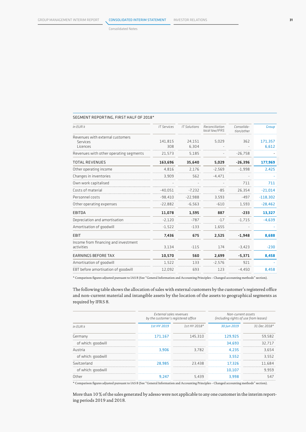Consolidated Notes

#### SEGMENT REPORTING, FIRST HALF OF 2018\*

| in EUR k                                           | <b>IT Services</b> | <b>IT Solutions</b> | Reconciliation<br>local law/IFRS | Consolida-<br>tion/other | <b>Group</b> |
|----------------------------------------------------|--------------------|---------------------|----------------------------------|--------------------------|--------------|
| Revenues with external customers                   | 141.815            | 24.151              | 5.029                            | 362                      | 171,357      |
| Services<br>Licences                               | 308                | 6.304               |                                  |                          | 6,612        |
| Revenues with other operating segments             | 21,573             | 5,185               |                                  | $-26,758$                |              |
| <b>TOTAL REVENUES</b>                              | 163,696            | 35,640              | 5,029                            | $-26,396$                | 177,969      |
| Other operating income                             | 4,816              | 2,176               | $-2,569$                         | $-1,998$                 | 2,425        |
| Changes in inventories                             | 3,909              | 562                 | $-4.471$                         |                          |              |
| Own work capitalised                               |                    |                     |                                  | 711                      | 711          |
| Costs of material                                  | $-40,051$          | $-7.232$            | $-85$                            | 26,354                   | $-21,014$    |
| Personnel costs                                    | $-98,410$          | $-22,988$           | 3,593                            | $-497$                   | $-118,302$   |
| Other operating expenses                           | $-22,882$          | $-6,563$            | $-610$                           | 1,593                    | $-28,462$    |
| <b>EBITDA</b>                                      | 11,078             | 1,595               | 887                              | $-233$                   | 13,327       |
| Depreciation and amortisation                      | $-2,120$           | $-787$              | $-17$                            | $-1.715$                 | $-4,639$     |
| Amortisation of goodwill                           | $-1,522$           | $-133$              | 1,655                            |                          |              |
| <b>EBIT</b>                                        | 7,436              | 675                 | 2,525                            | $-1,948$                 | 8,688        |
| Income from financing and investment<br>activities | 3,134              | $-115$              | 174                              | $-3,423$                 | $-230$       |
| <b>EARNINGS BEFORE TAX</b>                         | 10,570             | 560                 | 2,699                            | $-5,371$                 | 8,458        |
| Amortisation of goodwill                           | 1,522              | 133                 | $-2,576$                         | 921                      |              |
| EBT before amortisation of goodwill                | 12,092             | 693                 | 123                              | $-4.450$                 | 8,458        |
|                                                    |                    |                     |                                  |                          |              |

\* Comparison figures adjusted pursuant to IAS 8 (See "General Information and Accounting Principles – Changed accounting methods" section).

The following table shows the allocation of sales with external customers by the customer's registered office and non-current material and intangible assets by the location of the assets to geographical segments as required by IFRS 8.

|             |                 | Non-current assets<br>(including rights of use from leases)    |                |  |
|-------------|-----------------|----------------------------------------------------------------|----------------|--|
| 1st HY 2019 | $1$ st HY 2018* | 30 Jun 2019                                                    | $31$ Dec 2018* |  |
| 171.167     | 145.310         | 129.925                                                        | 59.582         |  |
|             |                 | 34.693                                                         | 32.717         |  |
| 3.906       | 3.782           | 4.235                                                          | 3.654          |  |
|             |                 | 3.552                                                          | 3.552          |  |
| 28.985      | 23.438          | 17.326                                                         | 11.684         |  |
|             |                 | 10.107                                                         | 9.959          |  |
| 9.247       | 5.439           | 3.998                                                          | 547            |  |
|             |                 | External sales revenues<br>by the customer's registered office |                |  |

\* Comparison figures adjusted pursuant to IAS 8 (See "General Information and Accounting Principles – Changed accounting methods" section).

More than 10 % of the sales generated by adesso were not applicable to any one customer in the interim reporting periods 2019 and 2018.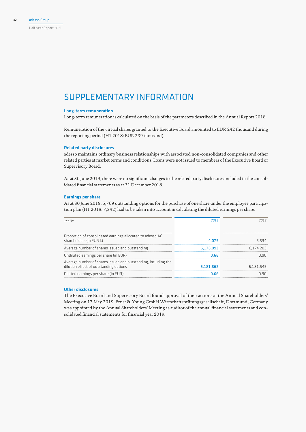#### Half-year Report 2019

## SUPPLEMENTARY INFORMATION

#### Long-term remuneration

Long-term remuneration is calculated on the basis of the parameters described in the Annual Report 2018.

Remuneration of the virtual shares granted to the Executive Board amounted to EUR 242 thousand during the reporting period (H1 2018: EUR 339 thousand).

#### Related party disclosures

adesso maintains ordinary business relationships with associated non-consolidated companies and other related parties at market terms and conditions. Loans were not issued to members of the Executive Board or Supervisory Board.

As at 30 June 2019, there were no significant changes to the related party disclosures included in the consolidated financial statements as at 31 December 2018.

#### Earnings per share

As at 30 June 2019, 5,769 outstanding options for the purchase of one share under the employee participation plan (H1 2018: 7,342) had to be taken into account in calculating the diluted earnings per share.

| 1stHY                                                                                                    | 2019      | 2N 1 R    |
|----------------------------------------------------------------------------------------------------------|-----------|-----------|
|                                                                                                          |           |           |
| Proportion of consolidated earnings allocated to adesso AG<br>shareholders (in EUR k)                    | 4.075     | 5.534     |
| Average number of shares issued and outstanding                                                          | 6,176,093 | 6.174.203 |
| Undiluted earnings per share (in EUR)                                                                    | 0.66      | n an      |
| Average number of shares issued and outstanding, including the<br>dilution effect of outstanding options | 6,181,862 | 6.181.545 |
| Diluted earnings per share (in EUR)                                                                      | 0.66      | n 9n      |

#### Other disclosures

The Executive Board and Supervisory Board found approval of their actions at the Annual Shareholders' Meeting on 17 May 2019. Ernst & Young GmbH Wirtschaftsprüfungsgesellschaft, Dortmund, Germany was appointed by the Annual Shareholders' Meeting as auditor of the annual financial statements and consolidated financial statements for financial year 2019.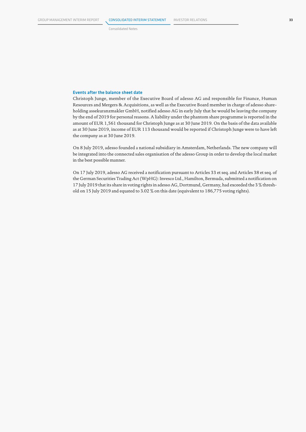Consolidated Notes

#### Events after the balance sheet date

Christoph Junge, member of the Executive Board of adesso AG and responsible for Finance, Human Resources and Mergers & Acquisitions, as well as the Executive Board member in charge of adesso shareholding assekuranzmakler GmbH, notified adesso AG in early July that he would be leaving the company by the end of 2019 for personal reasons. A liability under the phantom share programme is reported in the amount of EUR 1,561 thousand for Christoph Junge as at 30 June 2019. On the basis of the data available as at 30 June 2019, income of EUR 113 thousand would be reported if Christoph Junge were to have left the company as at 30 June 2019.

On 8 July 2019, adesso founded a national subsidiary in Amsterdam, Netherlands. The new company will be integrated into the connected sales organisation of the adesso Group in order to develop the local market in the best possible manner.

On 17 July 2019, adesso AG received a notification pursuant to Articles 33 et seq. and Articles 38 et seq. of the German Securities Trading Act (WpHG): Invesco Ltd., Hamilton, Bermuda, submitted a notification on 17 July 2019 that its share in voting rights in adesso AG, Dortmund, Germany, had exceeded the 3 % threshold on 15 July 2019 and equated to 3.02 % on this date (equivalent to 186,775 voting rights).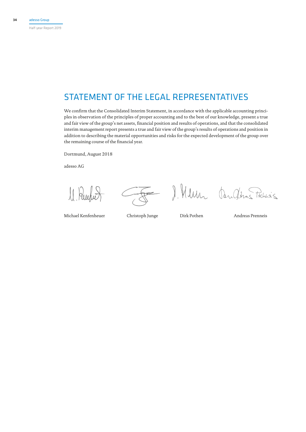## STATEMENT OF THE LEGAL REPRESENTATIVES

We confirm that the Consolidated Interim Statement, in accordance with the applicable accounting principles in observation of the principles of proper accounting and to the best of our knowledge, present a true and fair view of the group's net assets, financial position and results of operations, and that the consolidated interim management report presents a true and fair view of the group's results of operations and position in addition to describing the material opportunities and risks for the expected development of the group over the remaining course of the financial year.

Dortmund, August 2018

adesso AG

 $\iint$ 

 $\overline{\phantom{0}}$ 

J. Mun Andras Tichis's

Michael Kenfenheuer Christoph Junge Dirk Pothen Andreas Prenneis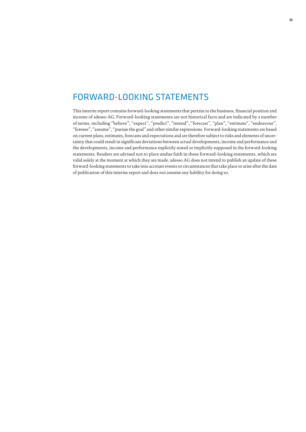## FORWARD-LOOKING STATEMENTS

This interim report contains forward-looking statements that pertain to the business, financial position and income of adesso AG. Forward-looking statements are not historical facts and are indicated by a number of terms, including "believe", "expect", "predict", "intend", "forecast", "plan", "estimate", "endeavour", "foresee", "assume", "pursue the goal" and other similar expressions. Forward-looking statements are based on current plans, estimates, forecasts and expectations and are therefore subject to risks and elements of uncertainty that could result in significant deviations between actual developments, income and performance and the developments, income and performance explicitly stated or implicitly supposed in the forward-looking statements. Readers are advised not to place undue faith in these forward-looking statements, which are valid solely at the moment at which they are made. adesso AG does not intend to publish an update of these forward-looking statements to take into account events or circumstances that take place or arise after the date of publication of this interim report and does not assume any liability for doing so.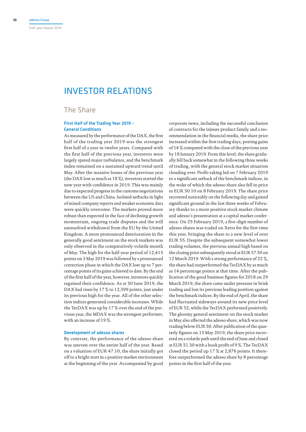## INVESTOR RELATIONS

### The Share

#### First Half of the Trading Year 2019 – General Conditions

As measured by the performance of the DAX, the first half of the trading year 2019 was the strongest first half of a year in twelve years. Compared with the first half of the previous year, investors were largely spared major turbulence, and the benchmark index remained on a sustained upward trend until May. After the massive losses of the previous year (the DAX lost as much as 18 %), investors started the new year with confidence in 2019. This was mainly due to expected progress in the customs negotiations between the US and China. Isolated setbacks in light of mixed company reports and weaker economic data were quickly overcome. The markets proved more robust than expected in the face of declining growth momentum, ongoing trade disputes and the still unresolved withdrawal from the EU by the United Kingdom. A more pronounced deterioration in the generally good sentiment on the stock markets was only observed in the comparatively volatile month of May. The high for the half-year period of 12,413 points on 3 May 2019 was followed by a pronounced correction phase in which the DAX lost up to 7 percentage points of its gains achieved to date. By the end of the first half of the year, however, investors quickly regained their confidence. As at 30 June 2019, the DAX had risen by 17 % to 12,399 points, just under its previous high for the year. All of the other selection indices generated considerable increases. While the TecDAX was up by 17 % over the end of the previous year, the MDAX was the strongest performer, with an increase of 19 %.

#### Development of adesso shares

By contrast, the performance of the adesso share was uneven over the entire half of the year. Based on a valuation of EUR 47.10, the share initially got off to a bright start in a positive market environment at the beginning of the year. Accompanied by good

corporate news, including the successful conclusion of contracts for the in|sure product family and a recommendation in the financial media, the share price increased within the first trading days, posting gains of 14 % compared with the close of the previous year by 18 January 2019. From this level, the share gradually fell back somewhat in the following three weeks of trading, with the general stock market situation clouding over. Profit-taking led on 7 February 2019 to a significant setback of the benchmark indices, in the wake of which the adesso share also fell in price to EUR 50.10 on 8 February 2019. The share price recovered noticeably on the following day and gained significant ground in the last three weeks of February thanks to a more positive stock market climate and adesso's presentation at a capital market conference. On 25 February 2019, a five-digit number of adesso shares was traded on Xetra for the first time this year, bringing the share to a new level of over EUR 55. Despite the subsequent somewhat lower trading volumes, the previous annual high based on the closing price subsequently stood at EUR 57.50 on 12 March 2019. With a strong performance of 22 %, the share had outperformed the TecDAX by as much as 14 percentage points at that time. After the publication of the good business figures for 2018 on 29 March 2019, the share came under pressure in brisk trading and lost its previous leading position against the benchmark indices. By the end of April, the share had fluctuated sideways around its new price level of EUR 52, while the TecDAX performed positively. The gloomy general sentiment on the stock market in May also affected the adesso share, which was now trading below EUR 50. After publication of the quarterly figures on 13 May 2019, the share price recovered on a volatile path until the end of June and closed at EUR 51.30 with a book profit of 9 %. The TecDAX closed the period up 17 % at 2,876 points. It therefore outperformed the adesso share by 8 percentage points in the first half of the year.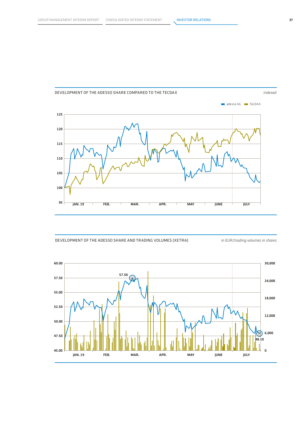





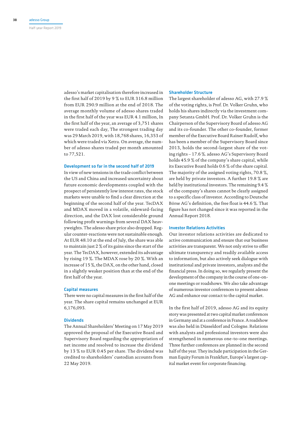Half-year Report 2019

adesso's market capitalisation therefore increased in the first half of 2019 by 9 % to EUR 316.8 million from EUR 290.9 million at the end of 2018. The average monthly volume of adesso shares traded in the first half of the year was EUR 4.1 million, In the first half of the year, an average of 3,751 shares were traded each day, The strongest trading day was 29 March 2019, with 18,768 shares, 16,353 of which were traded via Xetra. On average, the number of adesso shares traded per month amounted to 77,521.

#### Development so far in the second half of 2019

In view of new tensions in the trade conflict between the US and China and increased uncertainty about future economic developments coupled with the prospect of persistently low interest rates, the stock markets were unable to find a clear direction at the beginning of the second half of the year. TecDAX and MDAX moved in a volatile, sideward-facing direction, and the DAX lost considerable ground following profit warnings from several DAX heavyweights. The adesso share price also dropped. Regular counter-reactions were not sustainable enough. At EUR 48.10 at the end of July, the share was able to maintain just 2 % of its gains since the start of the year. The TecDAX, however, extended its advantage by rising 19 %. The MDAX rose by 20 %. With an increase of 15 %, the DAX, on the other hand, closed in a slightly weaker position than at the end of the first half of the year.

#### Capital measures

There were no capital measures in the first half of the year. The share capital remains unchanged at EUR 6,176,093.

#### **Dividends**

The Annual Shareholders' Meeting on 17 May 2019 approved the proposal of the Executive Board and Supervisory Board regarding the appropriation of net income and resolved to increase the dividend by 13 % to EUR 0.45 per share. The dividend was credited to shareholders' custodian accounts from 22 May 2019.

#### Shareholder Structure

The largest shareholder of adesso AG, with 27.9 % of the voting rights, is Prof. Dr. Volker Gruhn, who holds his shares indirectly via the investment company Setanta GmbH. Prof. Dr. Volker Gruhn is the Chairperson of the Supervisory Board of adesso AG and its co-founder. The other co-founder, former member of the Executive Board Rainer Rudolf, who has been a member of the Supervisory Board since 2013, holds the second-largest share of the voting rights – 17.6 %. adesso AG's Supervisory Board holds 45.9 % of the company's share capital, while its Executive Board holds 0.6 % of the share capital. The majority of the assigned voting rights, 70.8 %, are held by private investors. A further 19.8 % are held by institutional investors. The remaining 9.4 % of the company's shares cannot be clearly assigned to a specific class of investor. According to Deutsche Börse AG's definition, the free float is 44.6 %. That figure has not changed since it was reported in the Annual Report 2018.

#### Investor Relations Activities

Our investor relations activities are dedicated to active communication and ensure that our business activities are transparent. We not only strive to offer ultimate transparency and readily available access to information, but also actively seek dialogue with institutional and private investors, analysts and the financial press. In doing so, we regularly present the development of the company in the course of one-onone meetings or roadshows. We also take advantage of numerous investor conferences to present adesso AG and enhance our contact to the capital market.

In the first half of 2019, adesso AG and its equity story was presented at two capital market conferences in Germany and at a conference in France. A roadshow was also held in Düsseldorf and Cologne. Relations with analysts and professional investors were also strengthened in numerous one-to-one meetings. Three further conferences are planned in the second half of the year. They include participation in the German Equity Forum in Frankfurt, Europe's largest capital market event for corporate financing.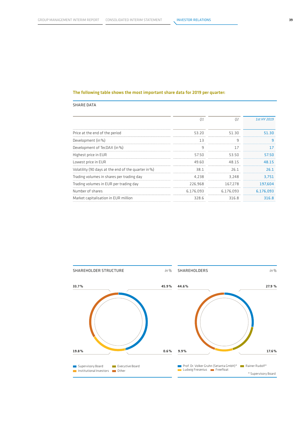#### The following table shows the most important share data for 2019 per quarter:

#### SHARE DATA

|                                                     | 01        | 02        | 1st HY 2019 |
|-----------------------------------------------------|-----------|-----------|-------------|
| Price at the end of the period                      | 53.20     | 51.30     | 51.30       |
| Development (in %)                                  | 13        | 9         | ٩           |
| Development of TecDAX (in %)                        | q         | 17        | 17          |
| Highest price in EUR                                | 5750      | 53.50     | 57.50       |
| Lowest price in EUR                                 | 49.60     | 48.15     | 48.15       |
| Volatility (90 days at the end of the quarter in %) | 38.1      | 26 1      | 26.1        |
| Trading volumes in shares per trading day           | 4.238     | 3.248     | 3,751       |
| Trading volumes in EUR per trading day              | 226.968   | 167.278   | 197.604     |
| Number of shares                                    | 6.176.093 | 6.176.093 | 6.176.093   |
| Market capitalisation in EUR million                | 328.6     | 316.8     | 316.8       |

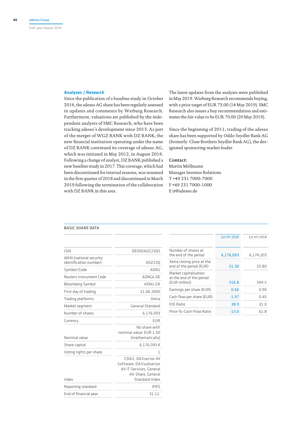#### Analyses / Research

Since the publication of a baseline study in October 2016, the adesso AG share has been regularly assessed in updates and comments by Warburg Research. Furthermore, valuations are published by the independent analysts of SMC Research, who have been tracking adesso's development since 2013. As part of the merger of WGZ BANK with DZ BANK, the new financial institution operating under the name of DZ BANK continued its coverage of adesso AG, which was initiated in May 2012, in August 2016. Following a change of analyst, DZ BANK published a new baseline study in 2017. This coverage, which had been discontinued for internal reasons, was resumed in the first quarter of 2018 and discontinued in March 2019 following the termination of the collaboration with DZ BANK in this area.

The latest updates from the analysts were published in May 2019. Warburg Research recommends buying, with a price target of EUR 75.00 (14 May 2019). SMC Research also issues a buy recommendation and estimates the fair value to be EUR 70.00 (20 May 2019).

Since the beginning of 2011, trading of the adesso share has been supported by Oddo Seydler Bank AG (formerly: Close Brothers Seydler Bank AG), the designated sponsoring market leader.

#### **Contact:**

Martin Möllmann Manager Investor Relations T +49 231 7000-7000 F +49 231 7000-1000 E ir@adesso.de

#### BASIC SHARE DATA ISIN DE000A0Z23Q5 WKN (national security identification number) A0Z23Q Symbol/Code ADN1 Reuters Instrument Code ADNGk.DE Bloomberg Symbol ADN1:GR First day of trading 21.06.2000 Trading platforms Trading Platforms Actrice 2012 Market segment General Standard Number of shares 6,176,093 Currency EUR Nominal value No share with nominal value: EUR 1.00 (mathematically) Share capital 6,176,093  $\epsilon$ Voting rights per share 1 Index CDAX, DAXsector All Software, DAXsubsector All IT-Services, General All-Share, General Standard Index Reporting standard **IFRS**

End of financial year 31.12.

|                                                                    | 1st HY 2019 | 1st HY 2018 |
|--------------------------------------------------------------------|-------------|-------------|
| Number of shares at<br>the end of the period                       | 6,176,093   | 6.174.203   |
| Xetra closing price at the<br>end of the period (EUR)              | 51.30       | 55.80       |
| Market capitalisation<br>at the end of the period<br>(EUR million) | 316.8       | 3445        |
| Earnings per share (EUR)                                           | 0.66        | በ ዓበ        |
| Cash flow per share (EUR)                                          | -197        | በ 45        |
| P/E Ratio                                                          | 38.9        | 31 U        |
| Price-To-Cash-Flow Ratio                                           | -13.0       | 61 R        |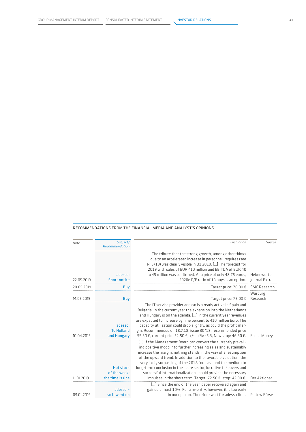#### RECOMMENDATIONS FROM THE FINANCIAL MEDIA AND ANALYST'S OPINIONS

| Date       | Subject/<br>Recommendation                           | Evaluation                                                                                                                                                                                                                                                                                                                                                                                                                                                                                                                                   | Source                      |
|------------|------------------------------------------------------|----------------------------------------------------------------------------------------------------------------------------------------------------------------------------------------------------------------------------------------------------------------------------------------------------------------------------------------------------------------------------------------------------------------------------------------------------------------------------------------------------------------------------------------------|-----------------------------|
| 22.05.2019 | adesso:<br><b>Short notice</b>                       | The tribute that the strong growth, among other things<br>due to an accelerated increase in personnel, requires (see<br>NJ 5/19) was clearly visible in Q1 2019. [] The forecast for<br>2019 with sales of EUR 410 million and EBITDA of EUR 40<br>to 45 million was confirmed. At a price of only 48.75 euros,<br>a 2020e P/E ratio of 13 buys is an option.                                                                                                                                                                                | Nebenwerte<br>Journal Extra |
| 20.05.2019 | Buy                                                  | Target price: 70.00 €                                                                                                                                                                                                                                                                                                                                                                                                                                                                                                                        | SMC Research                |
| 14.05.2019 | Buy                                                  | Target price: 75.00 €                                                                                                                                                                                                                                                                                                                                                                                                                                                                                                                        | Warburg<br>Research         |
| 10.04.2019 | adesso:<br><b>To Holland</b><br>and Hungary          | The IT service provider adesso is already active in Spain and<br>Bulgaria. In the current year the expansion into the Netherlands<br>and Hungary is on the agenda. [] In the current year revenues<br>are expected to increase by nine percent to 410 million Euro. The<br>capacity utilisation could drop slightly, as could the profit mar-<br>gin. Recommended on 18.7.18, issue 30/18, recommended price<br>55.30 €, current price 52.50 €, +/- in %: -5.3, New stop: 46.30 €.                                                           | Focus Money                 |
| 11.01.2019 | <b>Hot stock</b><br>of the week:<br>the time is ripe | [] If the Management Board can convert the currently prevail-<br>ing positive mood into further increasing sales and sustainably<br>increase the margin, nothing stands in the way of a resumption<br>of the upward trend. In addition to the favorable valuation, the<br>very likely surpassing of the 2018 forecast and the medium to<br>long-term conclusion in the   sure sector, lucrative takeovers and<br>successful internationalization should provide the necessary<br>impulses in the short term. Target: 72.50 €, stop: 42.00 €. | Der Aktionär                |
| 09.01.2019 | $adesso -$<br>so it went on                          | [] Since the end of the year, paper recovered again and<br>gained almost 10%. For a re-entry, however, it is too early<br>in our opinion. Therefore wait for adesso first.                                                                                                                                                                                                                                                                                                                                                                   | Platow Börse                |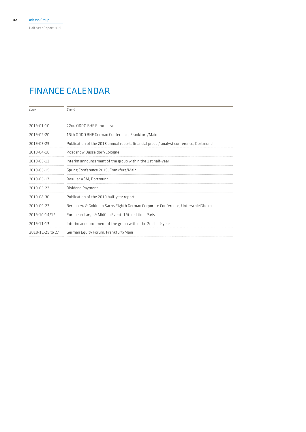Half-year Report 2019

## FINANCE CALENDAR

| Date.            | Fvent                                                                                 |  |
|------------------|---------------------------------------------------------------------------------------|--|
| 2019-01-10       | 22nd ODDO BHF Forum, Lyon                                                             |  |
| 2019-02-20       | 13th ODDO BHF German Conference, Frankfurt/Main                                       |  |
| 2019-03-29       | Publication of the 2018 annual report, financial press / analyst conference, Dortmund |  |
| 2019-04-16       | Roadshow Dusseldorf/Cologne                                                           |  |
| 2019-05-13       | Interim announcement of the group within the 1st half-year                            |  |
| 2019-05-15       | Spring Conference 2019, Frankfurt/Main                                                |  |
| 2019-05-17       | Regular ASM, Dortmund                                                                 |  |
| 2019-05-22       | Dividend Payment                                                                      |  |
| 2019-08-30       | Publication of the 2019 half-year report                                              |  |
| 2019-09-23       | Berenberg & Goldman Sachs Eighth German Corporate Conference, Unterschleißheim        |  |
| 2019-10-14/15    | European Large & MidCap Event, 19th edition, Paris                                    |  |
| 2019-11-13       | Interim announcement of the group within the 2nd half-year                            |  |
| 2019-11-25 to 27 | German Equity Forum, Frankfurt/Main                                                   |  |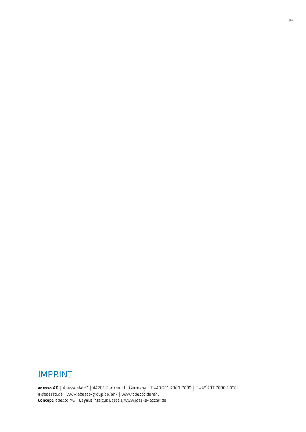## IMPRINT

adesso AG | Adessoplatz 1 | 44269 Dortmund | Germany | T +49 231 7000-7000 | F +49 231 7000-1000 ir@adesso.de | www.adesso-group.de/en/ | www.adesso.de/en/ Concept: adesso AG | Layout: Marcus Lazzari, www.roeske-lazzari.de